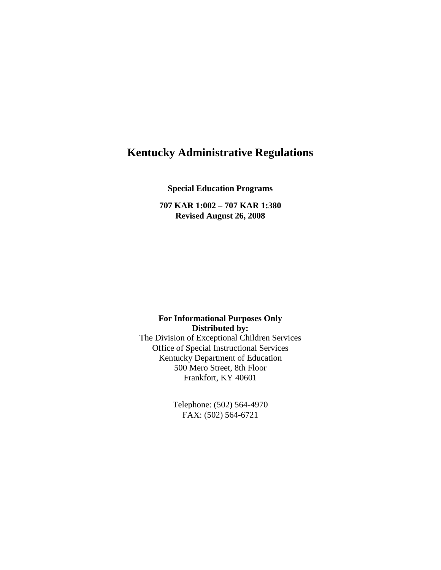# **Kentucky Administrative Regulations**

**Special Education Programs**

**707 KAR 1:002 – 707 KAR 1:380 Revised August 26, 2008**

**For Informational Purposes Only Distributed by:** The Division of Exceptional Children Services Office of Special Instructional Services Kentucky Department of Education 500 Mero Street, 8th Floor Frankfort, KY 40601

> Telephone: (502) 564-4970 FAX: (502) 564-6721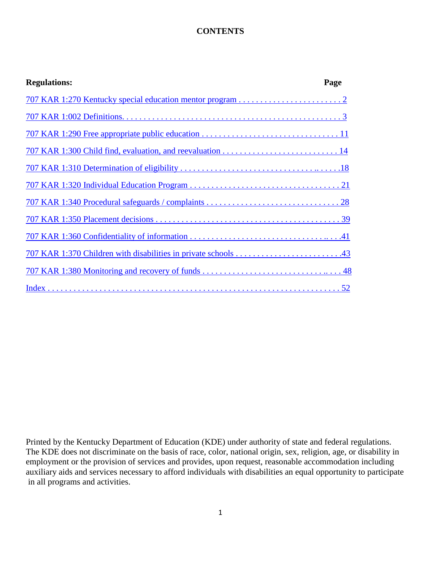### **CONTENTS**

<span id="page-1-0"></span>

| <b>Regulations:</b> | Page |
|---------------------|------|
|                     |      |
|                     |      |
|                     |      |
|                     |      |
|                     |      |
|                     |      |
|                     |      |
|                     |      |
|                     |      |
|                     |      |
|                     |      |
|                     |      |

Printed by the Kentucky Department of Education (KDE) under authority of state and federal regulations. The KDE does not discriminate on the basis of race, color, national origin, sex, religion, age, or disability in employment or the provision of services and provides, upon request, reasonable accommodation including auxiliary aids and services necessary to afford individuals with disabilities an equal opportunity to participate in all programs and activities.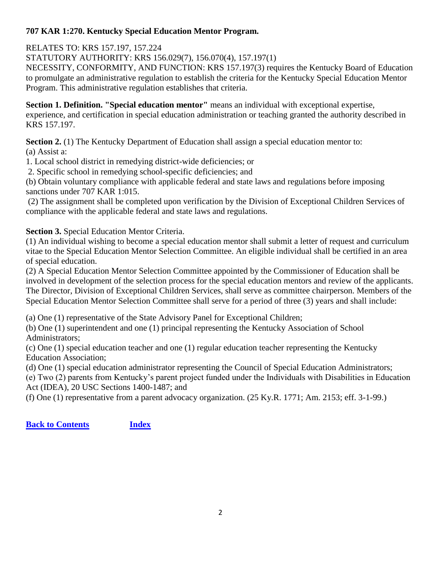# <span id="page-2-0"></span>**707 KAR 1:270. Kentucky Special Education Mentor Program.**

RELATES TO: KRS 157.197, 157.224

STATUTORY AUTHORITY: KRS 156.029(7), 156.070(4), 157.197(1)

NECESSITY, CONFORMITY, AND FUNCTION: KRS 157.197(3) requires the Kentucky Board of Education to promulgate an administrative regulation to establish the criteria for the Kentucky Special Education Mentor Program. This administrative regulation establishes that criteria.

**Section 1. Definition. "Special education mentor"** means an individual with exceptional expertise, experience, and certification in special education administration or teaching granted the authority described in KRS 157.197.

**Section 2.** (1) The Kentucky Department of Education shall assign a special education mentor to: (a) Assist a:

1. Local school district in remedying district-wide deficiencies; or

2. Specific school in remedying school-specific deficiencies; and

(b) Obtain voluntary compliance with applicable federal and state laws and regulations before imposing sanctions under 707 KAR 1:015.

(2) The assignment shall be completed upon verification by the Division of Exceptional Children Services of compliance with the applicable federal and state laws and regulations.

**Section 3.** Special Education Mentor Criteria.

(1) An individual wishing to become a special education mentor shall submit a letter of request and curriculum vitae to the Special Education Mentor Selection Committee. An eligible individual shall be certified in an area of special education.

(2) A Special Education Mentor Selection Committee appointed by the Commissioner of Education shall be involved in development of the selection process for the special education mentors and review of the applicants. The Director, Division of Exceptional Children Services, shall serve as committee chairperson. Members of the Special Education Mentor Selection Committee shall serve for a period of three (3) years and shall include:

(a) One (1) representative of the State Advisory Panel for Exceptional Children;

(b) One (1) superintendent and one (1) principal representing the Kentucky Association of School Administrators;

(c) One (1) special education teacher and one (1) regular education teacher representing the Kentucky Education Association;

(d) One (1) special education administrator representing the Council of Special Education Administrators;

(e) Two (2) parents from Kentucky's parent project funded under the Individuals with Disabilities in Education Act (IDEA), 20 USC Sections 1400-1487; and

(f) One (1) representative from a parent advocacy organization. (25 Ky.R. 1771; Am. 2153; eff. 3-1-99.)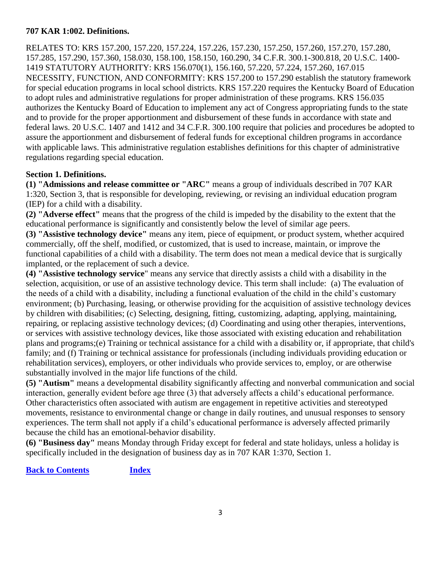### <span id="page-3-0"></span>**707 KAR 1:002. Definitions.**

RELATES TO: KRS 157.200, 157.220, 157.224, 157.226, 157.230, 157.250, 157.260, 157.270, 157.280, 157.285, 157.290, 157.360, 158.030, 158.100, 158.150, 160.290, 34 C.F.R. 300.1-300.818, 20 U.S.C. 1400- 1419 STATUTORY AUTHORITY: KRS 156.070(1), 156.160, 57.220, 57.224, 157.260, 167.015 NECESSITY, FUNCTION, AND CONFORMITY: KRS 157.200 to 157.290 establish the statutory framework for special education programs in local school districts. KRS 157.220 requires the Kentucky Board of Education to adopt rules and administrative regulations for proper administration of these programs. KRS 156.035 authorizes the Kentucky Board of Education to implement any act of Congress appropriating funds to the state and to provide for the proper apportionment and disbursement of these funds in accordance with state and federal laws. 20 U.S.C. 1407 and 1412 and 34 C.F.R. 300.100 require that policies and procedures be adopted to assure the apportionment and disbursement of federal funds for exceptional children programs in accordance with applicable laws. This administrative regulation establishes definitions for this chapter of administrative regulations regarding special education.

### **Section 1. Definitions.**

**(1) "Admissions and release committee or "ARC"** means a group of individuals described in 707 KAR 1:320, Section 3, that is responsible for developing, reviewing, or revising an individual education program (IEP) for a child with a disability.

**(2) "Adverse effect"** means that the progress of the child is impeded by the disability to the extent that the educational performance is significantly and consistently below the level of similar age peers.

**(3) "Assistive technology device"** means any item, piece of equipment, or product system, whether acquired commercially, off the shelf, modified, or customized, that is used to increase, maintain, or improve the functional capabilities of a child with a disability. The term does not mean a medical device that is surgically implanted, or the replacement of such a device.

**(4) "Assistive technology service**" means any service that directly assists a child with a disability in the selection, acquisition, or use of an assistive technology device. This term shall include: (a) The evaluation of the needs of a child with a disability, including a functional evaluation of the child in the child's customary environment; (b) Purchasing, leasing, or otherwise providing for the acquisition of assistive technology devices by children with disabilities; (c) Selecting, designing, fitting, customizing, adapting, applying, maintaining, repairing, or replacing assistive technology devices; (d) Coordinating and using other therapies, interventions, or services with assistive technology devices, like those associated with existing education and rehabilitation plans and programs;(e) Training or technical assistance for a child with a disability or, if appropriate, that child's family; and (f) Training or technical assistance for professionals (including individuals providing education or rehabilitation services), employers, or other individuals who provide services to, employ, or are otherwise substantially involved in the major life functions of the child.

**(5) "Autism"** means a developmental disability significantly affecting and nonverbal communication and social interaction, generally evident before age three (3) that adversely affects a child's educational performance. Other characteristics often associated with autism are engagement in repetitive activities and stereotyped movements, resistance to environmental change or change in daily routines, and unusual responses to sensory experiences. The term shall not apply if a child's educational performance is adversely affected primarily because the child has an emotional-behavior disability.

**(6) "Business day"** means Monday through Friday except for federal and state holidays, unless a holiday is specifically included in the designation of business day as in 707 KAR 1:370, Section 1.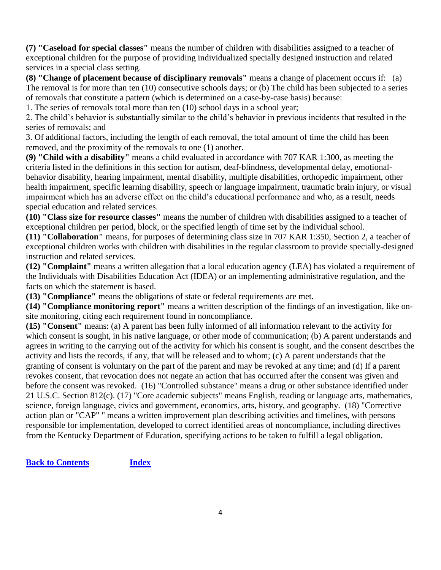**(7) "Caseload for special classes"** means the number of children with disabilities assigned to a teacher of exceptional children for the purpose of providing individualized specially designed instruction and related services in a special class setting.

**(8) "Change of placement because of disciplinary removals"** means a change of placement occurs if: (a) The removal is for more than ten (10) consecutive schools days; or (b) The child has been subjected to a series of removals that constitute a pattern (which is determined on a case-by-case basis) because:

1. The series of removals total more than ten (10) school days in a school year;

2. The child's behavior is substantially similar to the child's behavior in previous incidents that resulted in the series of removals; and

3. Of additional factors, including the length of each removal, the total amount of time the child has been removed, and the proximity of the removals to one (1) another.

**(9) "Child with a disability"** means a child evaluated in accordance with 707 KAR 1:300, as meeting the criteria listed in the definitions in this section for autism, deaf-blindness, developmental delay, emotionalbehavior disability, hearing impairment, mental disability, multiple disabilities, orthopedic impairment, other health impairment, specific learning disability, speech or language impairment, traumatic brain injury, or visual impairment which has an adverse effect on the child's educational performance and who, as a result, needs special education and related services.

**(10) "Class size for resource classes"** means the number of children with disabilities assigned to a teacher of exceptional children per period, block, or the specified length of time set by the individual school.

**(11) "Collaboration"** means, for purposes of determining class size in 707 KAR 1:350, Section 2, a teacher of exceptional children works with children with disabilities in the regular classroom to provide specially-designed instruction and related services.

**(12) "Complaint"** means a written allegation that a local education agency (LEA) has violated a requirement of the Individuals with Disabilities Education Act (IDEA) or an implementing administrative regulation, and the facts on which the statement is based.

**(13) "Compliance"** means the obligations of state or federal requirements are met.

**(14) "Compliance monitoring report"** means a written description of the findings of an investigation, like onsite monitoring, citing each requirement found in noncompliance.

**(15) "Consent"** means: (a) A parent has been fully informed of all information relevant to the activity for which consent is sought, in his native language, or other mode of communication; (b) A parent understands and agrees in writing to the carrying out of the activity for which his consent is sought, and the consent describes the activity and lists the records, if any, that will be released and to whom; (c) A parent understands that the granting of consent is voluntary on the part of the parent and may be revoked at any time; and (d) If a parent revokes consent, that revocation does not negate an action that has occurred after the consent was given and before the consent was revoked. (16) "Controlled substance" means a drug or other substance identified under 21 U.S.C. Section 812(c). (17) "Core academic subjects" means English, reading or language arts, mathematics, science, foreign language, civics and government, economics, arts, history, and geography. (18) "Corrective action plan or "CAP" " means a written improvement plan describing activities and timelines, with persons responsible for implementation, developed to correct identified areas of noncompliance, including directives from the Kentucky Department of Education, specifying actions to be taken to fulfill a legal obligation.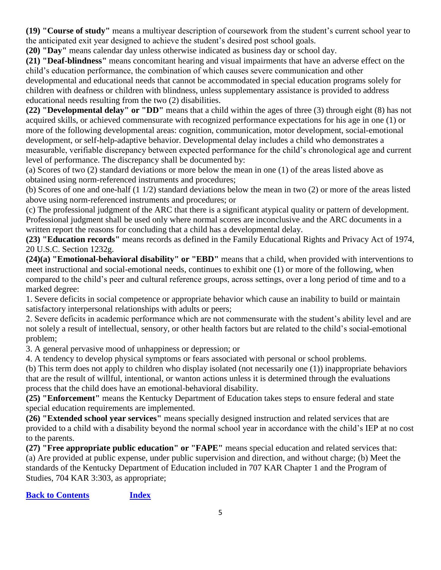**(19) "Course of study"** means a multiyear description of coursework from the student's current school year to the anticipated exit year designed to achieve the student's desired post school goals.

**(20) "Day"** means calendar day unless otherwise indicated as business day or school day.

**(21) "Deaf-blindness"** means concomitant hearing and visual impairments that have an adverse effect on the child's education performance, the combination of which causes severe communication and other developmental and educational needs that cannot be accommodated in special education programs solely for children with deafness or children with blindness, unless supplementary assistance is provided to address educational needs resulting from the two (2) disabilities.

**(22) "Developmental delay" or "DD"** means that a child within the ages of three (3) through eight (8) has not acquired skills, or achieved commensurate with recognized performance expectations for his age in one (1) or more of the following developmental areas: cognition, communication, motor development, social-emotional development, or self-help-adaptive behavior. Developmental delay includes a child who demonstrates a measurable, verifiable discrepancy between expected performance for the child's chronological age and current level of performance. The discrepancy shall be documented by:

(a) Scores of two (2) standard deviations or more below the mean in one (1) of the areas listed above as obtained using norm-referenced instruments and procedures;

(b) Scores of one and one-half (1 1/2) standard deviations below the mean in two (2) or more of the areas listed above using norm-referenced instruments and procedures; or

(c) The professional judgment of the ARC that there is a significant atypical quality or pattern of development. Professional judgment shall be used only where normal scores are inconclusive and the ARC documents in a written report the reasons for concluding that a child has a developmental delay.

**(23) "Education records"** means records as defined in the Family Educational Rights and Privacy Act of 1974, 20 U.S.C. Section 1232g.

**(24)(a) "Emotional-behavioral disability" or "EBD"** means that a child, when provided with interventions to meet instructional and social-emotional needs, continues to exhibit one (1) or more of the following, when compared to the child's peer and cultural reference groups, across settings, over a long period of time and to a marked degree:

1. Severe deficits in social competence or appropriate behavior which cause an inability to build or maintain satisfactory interpersonal relationships with adults or peers;

2. Severe deficits in academic performance which are not commensurate with the student's ability level and are not solely a result of intellectual, sensory, or other health factors but are related to the child's social-emotional problem;

3. A general pervasive mood of unhappiness or depression; or

4. A tendency to develop physical symptoms or fears associated with personal or school problems.

(b) This term does not apply to children who display isolated (not necessarily one (1)) inappropriate behaviors that are the result of willful, intentional, or wanton actions unless it is determined through the evaluations process that the child does have an emotional-behavioral disability.

**(25) "Enforcement"** means the Kentucky Department of Education takes steps to ensure federal and state special education requirements are implemented.

**(26) "Extended school year services"** means specially designed instruction and related services that are provided to a child with a disability beyond the normal school year in accordance with the child's IEP at no cost to the parents.

**(27) "Free appropriate public education" or "FAPE"** means special education and related services that: (a) Are provided at public expense, under public supervision and direction, and without charge; (b) Meet the standards of the Kentucky Department of Education included in 707 KAR Chapter 1 and the Program of Studies, 704 KAR 3:303, as appropriate;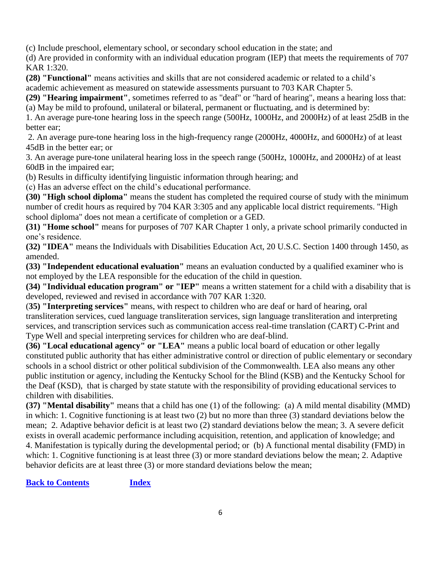(c) Include preschool, elementary school, or secondary school education in the state; and

(d) Are provided in conformity with an individual education program (IEP) that meets the requirements of 707 KAR 1:320.

**(28) "Functional"** means activities and skills that are not considered academic or related to a child's academic achievement as measured on statewide assessments pursuant to 703 KAR Chapter 5.

**(29) "Hearing impairment"**, sometimes referred to as "deaf" or "hard of hearing", means a hearing loss that: (a) May be mild to profound, unilateral or bilateral, permanent or fluctuating, and is determined by:

1. An average pure-tone hearing loss in the speech range (500Hz, 1000Hz, and 2000Hz) of at least 25dB in the better ear;

2. An average pure-tone hearing loss in the high-frequency range (2000Hz, 4000Hz, and 6000Hz) of at least 45dB in the better ear; or

3. An average pure-tone unilateral hearing loss in the speech range (500Hz, 1000Hz, and 2000Hz) of at least 60dB in the impaired ear;

(b) Results in difficulty identifying linguistic information through hearing; and

(c) Has an adverse effect on the child's educational performance.

**(30) "High school diploma"** means the student has completed the required course of study with the minimum number of credit hours as required by 704 KAR 3:305 and any applicable local district requirements. "High school diploma" does not mean a certificate of completion or a GED.

**(31) "Home school"** means for purposes of 707 KAR Chapter 1 only, a private school primarily conducted in one's residence.

**(32) "IDEA"** means the Individuals with Disabilities Education Act, 20 U.S.C. Section 1400 through 1450, as amended.

**(33) "Independent educational evaluation"** means an evaluation conducted by a qualified examiner who is not employed by the LEA responsible for the education of the child in question.

**(34) "Individual education program" or "IEP"** means a written statement for a child with a disability that is developed, reviewed and revised in accordance with 707 KAR 1:320.

(**35) "Interpreting services"** means, with respect to children who are deaf or hard of hearing, oral transliteration services, cued language transliteration services, sign language transliteration and interpreting services, and transcription services such as communication access real-time translation (CART) C-Print and Type Well and special interpreting services for children who are deaf-blind.

**(36) "Local educational agency" or "LEA"** means a public local board of education or other legally constituted public authority that has either administrative control or direction of public elementary or secondary schools in a school district or other political subdivision of the Commonwealth. LEA also means any other public institution or agency, including the Kentucky School for the Blind (KSB) and the Kentucky School for the Deaf (KSD), that is charged by state statute with the responsibility of providing educational services to children with disabilities.

**(37) "Mental disability"** means that a child has one (1) of the following: (a) A mild mental disability (MMD) in which: 1. Cognitive functioning is at least two (2) but no more than three (3) standard deviations below the mean; 2. Adaptive behavior deficit is at least two (2) standard deviations below the mean; 3. A severe deficit exists in overall academic performance including acquisition, retention, and application of knowledge; and 4. Manifestation is typically during the developmental period; or (b) A functional mental disability (FMD) in which: 1. Cognitive functioning is at least three (3) or more standard deviations below the mean; 2. Adaptive behavior deficits are at least three (3) or more standard deviations below the mean;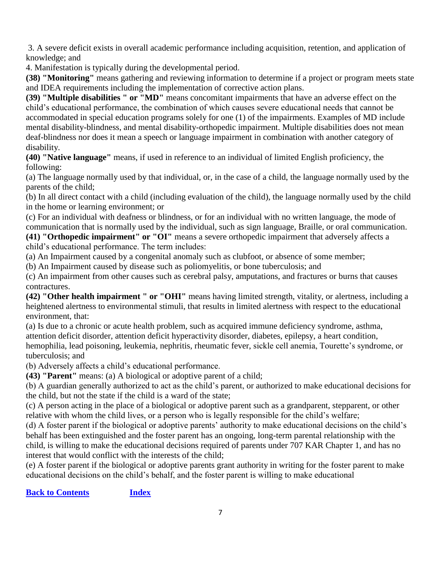3. A severe deficit exists in overall academic performance including acquisition, retention, and application of knowledge; and

4. Manifestation is typically during the developmental period.

**(38) "Monitoring"** means gathering and reviewing information to determine if a project or program meets state and IDEA requirements including the implementation of corrective action plans.

**(39) "Multiple disabilities " or "MD"** means concomitant impairments that have an adverse effect on the child's educational performance, the combination of which causes severe educational needs that cannot be accommodated in special education programs solely for one (1) of the impairments. Examples of MD include mental disability-blindness, and mental disability-orthopedic impairment. Multiple disabilities does not mean deaf-blindness nor does it mean a speech or language impairment in combination with another category of disability.

**(40) "Native language"** means, if used in reference to an individual of limited English proficiency, the following:

(a) The language normally used by that individual, or, in the case of a child, the language normally used by the parents of the child;

(b) In all direct contact with a child (including evaluation of the child), the language normally used by the child in the home or learning environment; or

(c) For an individual with deafness or blindness, or for an individual with no written language, the mode of communication that is normally used by the individual, such as sign language, Braille, or oral communication.

**(41) "Orthopedic impairment" or "OI"** means a severe orthopedic impairment that adversely affects a child's educational performance. The term includes:

(a) An Impairment caused by a congenital anomaly such as clubfoot, or absence of some member;

(b) An Impairment caused by disease such as poliomyelitis, or bone tuberculosis; and

(c) An impairment from other causes such as cerebral palsy, amputations, and fractures or burns that causes contractures.

**(42) "Other health impairment " or "OHI"** means having limited strength, vitality, or alertness, including a heightened alertness to environmental stimuli, that results in limited alertness with respect to the educational environment, that:

(a) Is due to a chronic or acute health problem, such as acquired immune deficiency syndrome, asthma, attention deficit disorder, attention deficit hyperactivity disorder, diabetes, epilepsy, a heart condition, hemophilia, lead poisoning, leukemia, nephritis, rheumatic fever, sickle cell anemia, Tourette's syndrome, or tuberculosis; and

(b) Adversely affects a child's educational performance.

**(43) "Parent"** means: (a) A biological or adoptive parent of a child;

(b) A guardian generally authorized to act as the child's parent, or authorized to make educational decisions for the child, but not the state if the child is a ward of the state;

(c) A person acting in the place of a biological or adoptive parent such as a grandparent, stepparent, or other relative with whom the child lives, or a person who is legally responsible for the child's welfare;

(d) A foster parent if the biological or adoptive parents' authority to make educational decisions on the child's behalf has been extinguished and the foster parent has an ongoing, long-term parental relationship with the child, is willing to make the educational decisions required of parents under 707 KAR Chapter 1, and has no interest that would conflict with the interests of the child;

(e) A foster parent if the biological or adoptive parents grant authority in writing for the foster parent to make educational decisions on the child's behalf, and the foster parent is willing to make educational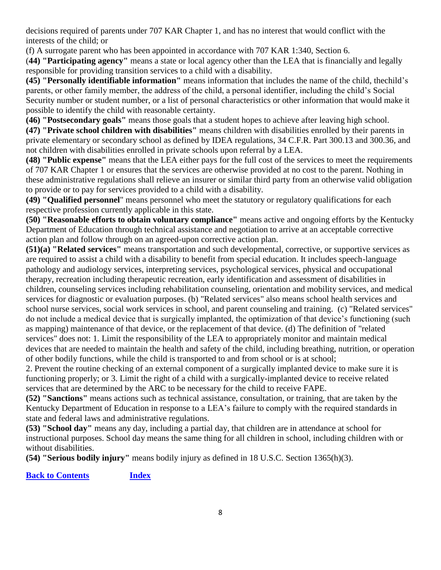decisions required of parents under 707 KAR Chapter 1, and has no interest that would conflict with the interests of the child; or

(f) A surrogate parent who has been appointed in accordance with 707 KAR 1:340, Section 6.

(**44) "Participating agency"** means a state or local agency other than the LEA that is financially and legally responsible for providing transition services to a child with a disability.

**(45) "Personally identifiable information"** means information that includes the name of the child, thechild's parents, or other family member, the address of the child, a personal identifier, including the child's Social Security number or student number, or a list of personal characteristics or other information that would make it possible to identify the child with reasonable certainty.

**(46) "Postsecondary goals"** means those goals that a student hopes to achieve after leaving high school.

**(47) "Private school children with disabilities"** means children with disabilities enrolled by their parents in private elementary or secondary school as defined by IDEA regulations, 34 C.F.R. Part 300.13 and 300.36, and not children with disabilities enrolled in private schools upon referral by a LEA.

**(48) "Public expense"** means that the LEA either pays for the full cost of the services to meet the requirements of 707 KAR Chapter 1 or ensures that the services are otherwise provided at no cost to the parent. Nothing in these administrative regulations shall relieve an insurer or similar third party from an otherwise valid obligation to provide or to pay for services provided to a child with a disability.

**(49) "Qualified personnel**" means personnel who meet the statutory or regulatory qualifications for each respective profession currently applicable in this state.

**(50) "Reasonable efforts to obtain voluntary compliance"** means active and ongoing efforts by the Kentucky Department of Education through technical assistance and negotiation to arrive at an acceptable corrective action plan and follow through on an agreed-upon corrective action plan.

**(51)(a) "Related services"** means transportation and such developmental, corrective, or supportive services as are required to assist a child with a disability to benefit from special education. It includes speech-language pathology and audiology services, interpreting services, psychological services, physical and occupational therapy, recreation including therapeutic recreation, early identification and assessment of disabilities in children, counseling services including rehabilitation counseling, orientation and mobility services, and medical services for diagnostic or evaluation purposes. (b) "Related services" also means school health services and school nurse services, social work services in school, and parent counseling and training. (c) "Related services" do not include a medical device that is surgically implanted, the optimization of that device's functioning (such as mapping) maintenance of that device, or the replacement of that device. (d) The definition of "related services" does not: 1. Limit the responsibility of the LEA to appropriately monitor and maintain medical devices that are needed to maintain the health and safety of the child, including breathing, nutrition, or operation of other bodily functions, while the child is transported to and from school or is at school;

2. Prevent the routine checking of an external component of a surgically implanted device to make sure it is functioning properly; or 3. Limit the right of a child with a surgically-implanted device to receive related services that are determined by the ARC to be necessary for the child to receive FAPE.

**(52) "Sanctions"** means actions such as technical assistance, consultation, or training, that are taken by the Kentucky Department of Education in response to a LEA's failure to comply with the required standards in state and federal laws and administrative regulations.

**(53) "School day"** means any day, including a partial day, that children are in attendance at school for instructional purposes. School day means the same thing for all children in school, including children with or without disabilities.

**(54) "Serious bodily injury"** means bodily injury as defined in 18 U.S.C. Section 1365(h)(3).

**[Back to Contents](#page-1-0) [Index](#page-52-0)**

8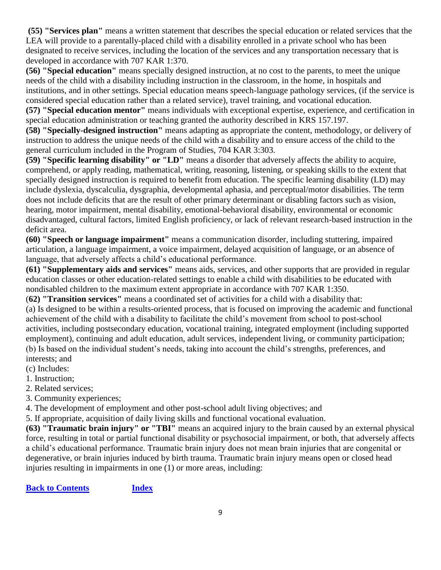**(55) "Services plan"** means a written statement that describes the special education or related services that the LEA will provide to a parentally-placed child with a disability enrolled in a private school who has been designated to receive services, including the location of the services and any transportation necessary that is developed in accordance with 707 KAR 1:370.

**(56) "Special education"** means specially designed instruction, at no cost to the parents, to meet the unique needs of the child with a disability including instruction in the classroom, in the home, in hospitals and institutions, and in other settings. Special education means speech-language pathology services, (if the service is considered special education rather than a related service), travel training, and vocational education.

**(57) "Special education mentor"** means individuals with exceptional expertise, experience, and certification in special education administration or teaching granted the authority described in KRS 157.197.

**(58) "Specially-designed instruction"** means adapting as appropriate the content, methodology, or delivery of instruction to address the unique needs of the child with a disability and to ensure access of the child to the general curriculum included in the Program of Studies, 704 KAR 3:303.

**(59) "Specific learning disability" or "LD"** means a disorder that adversely affects the ability to acquire, comprehend, or apply reading, mathematical, writing, reasoning, listening, or speaking skills to the extent that specially designed instruction is required to benefit from education. The specific learning disability (LD) may include dyslexia, dyscalculia, dysgraphia, developmental aphasia, and perceptual/motor disabilities. The term does not include deficits that are the result of other primary determinant or disabling factors such as vision, hearing, motor impairment, mental disability, emotional-behavioral disability, environmental or economic disadvantaged, cultural factors, limited English proficiency, or lack of relevant research-based instruction in the deficit area.

**(60) "Speech or language impairment"** means a communication disorder, including stuttering, impaired articulation, a language impairment, a voice impairment, delayed acquisition of language, or an absence of language, that adversely affects a child's educational performance.

**(61) "Supplementary aids and services"** means aids, services, and other supports that are provided in regular education classes or other education-related settings to enable a child with disabilities to be educated with nondisabled children to the maximum extent appropriate in accordance with 707 KAR 1:350.

(**62) "Transition services"** means a coordinated set of activities for a child with a disability that: (a) Is designed to be within a results-oriented process, that is focused on improving the academic and functional achievement of the child with a disability to facilitate the child's movement from school to post-school activities, including postsecondary education, vocational training, integrated employment (including supported employment), continuing and adult education, adult services, independent living, or community participation; (b) Is based on the individual student's needs, taking into account the child's strengths, preferences, and

- interests; and
- (c) Includes:
- 1. Instruction;
- 2. Related services;
- 3. Community experiences;

4. The development of employment and other post-school adult living objectives; and

5. If appropriate, acquisition of daily living skills and functional vocational evaluation.

**(63) "Traumatic brain injury" or "TBI"** means an acquired injury to the brain caused by an external physical force, resulting in total or partial functional disability or psychosocial impairment, or both, that adversely affects a child's educational performance. Traumatic brain injury does not mean brain injuries that are congenital or degenerative, or brain injuries induced by birth trauma. Traumatic brain injury means open or closed head injuries resulting in impairments in one (1) or more areas, including: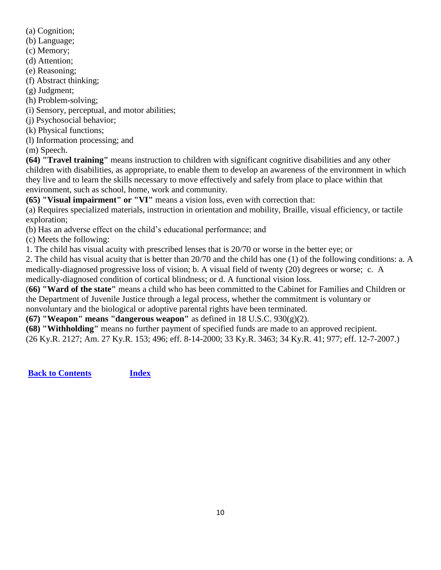(a) Cognition;

- (b) Language;
- (c) Memory;
- (d) Attention;
- (e) Reasoning;
- (f) Abstract thinking;

(g) Judgment;

(h) Problem-solving;

(i) Sensory, perceptual, and motor abilities;

(j) Psychosocial behavior;

(k) Physical functions;

(l) Information processing; and

(m) Speech.

**(64) "Travel training"** means instruction to children with significant cognitive disabilities and any other children with disabilities, as appropriate, to enable them to develop an awareness of the environment in which they live and to learn the skills necessary to move effectively and safely from place to place within that environment, such as school, home, work and community.

**(65) "Visual impairment" or "VI"** means a vision loss, even with correction that:

(a) Requires specialized materials, instruction in orientation and mobility, Braille, visual efficiency, or tactile exploration;

(b) Has an adverse effect on the child's educational performance; and

(c) Meets the following:

1. The child has visual acuity with prescribed lenses that is 20/70 or worse in the better eye; or

2. The child has visual acuity that is better than 20/70 and the child has one (1) of the following conditions: a. A medically-diagnosed progressive loss of vision; b. A visual field of twenty (20) degrees or worse; c. A medically-diagnosed condition of cortical blindness; or d. A functional vision loss.

(**66) "Ward of the state"** means a child who has been committed to the Cabinet for Families and Children or the Department of Juvenile Justice through a legal process, whether the commitment is voluntary or nonvoluntary and the biological or adoptive parental rights have been terminated.

**(67) "Weapon" means "dangerous weapon"** as defined in 18 U.S.C. 930(g)(2).

**(68) "Withholding"** means no further payment of specified funds are made to an approved recipient.

(26 Ky.R. 2127; Am. 27 Ky.R. 153; 496; eff. 8-14-2000; 33 Ky.R. 3463; 34 Ky.R. 41; 977; eff. 12-7-2007.)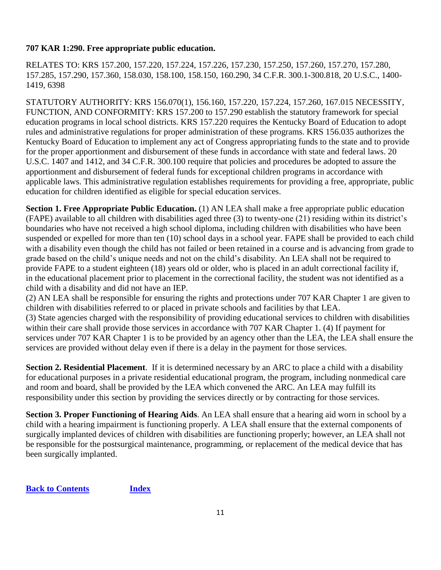### <span id="page-11-0"></span>**707 KAR 1:290. Free appropriate public education.**

RELATES TO: KRS 157.200, 157.220, 157.224, 157.226, 157.230, 157.250, 157.260, 157.270, 157.280, 157.285, 157.290, 157.360, 158.030, 158.100, 158.150, 160.290, 34 C.F.R. 300.1-300.818, 20 U.S.C., 1400- 1419, 6398

STATUTORY AUTHORITY: KRS 156.070(1), 156.160, 157.220, 157.224, 157.260, 167.015 NECESSITY, FUNCTION, AND CONFORMITY: KRS 157.200 to 157.290 establish the statutory framework for special education programs in local school districts. KRS 157.220 requires the Kentucky Board of Education to adopt rules and administrative regulations for proper administration of these programs. KRS 156.035 authorizes the Kentucky Board of Education to implement any act of Congress appropriating funds to the state and to provide for the proper apportionment and disbursement of these funds in accordance with state and federal laws. 20 U.S.C. 1407 and 1412, and 34 C.F.R. 300.100 require that policies and procedures be adopted to assure the apportionment and disbursement of federal funds for exceptional children programs in accordance with applicable laws. This administrative regulation establishes requirements for providing a free, appropriate, public education for children identified as eligible for special education services.

**Section 1. Free Appropriate Public Education.** (1) AN LEA shall make a free appropriate public education (FAPE) available to all children with disabilities aged three (3) to twenty-one (21) residing within its district's boundaries who have not received a high school diploma, including children with disabilities who have been suspended or expelled for more than ten (10) school days in a school year. FAPE shall be provided to each child with a disability even though the child has not failed or been retained in a course and is advancing from grade to grade based on the child's unique needs and not on the child's disability. An LEA shall not be required to provide FAPE to a student eighteen (18) years old or older, who is placed in an adult correctional facility if, in the educational placement prior to placement in the correctional facility, the student was not identified as a child with a disability and did not have an IEP.

(2) AN LEA shall be responsible for ensuring the rights and protections under 707 KAR Chapter 1 are given to children with disabilities referred to or placed in private schools and facilities by that LEA. (3) State agencies charged with the responsibility of providing educational services to children with disabilities within their care shall provide those services in accordance with 707 KAR Chapter 1. (4) If payment for services under 707 KAR Chapter 1 is to be provided by an agency other than the LEA, the LEA shall ensure the services are provided without delay even if there is a delay in the payment for those services.

**Section 2. Residential Placement**. If it is determined necessary by an ARC to place a child with a disability for educational purposes in a private residential educational program, the program, including nonmedical care and room and board, shall be provided by the LEA which convened the ARC. An LEA may fulfill its responsibility under this section by providing the services directly or by contracting for those services.

**Section 3. Proper Functioning of Hearing Aids**. An LEA shall ensure that a hearing aid worn in school by a child with a hearing impairment is functioning properly. A LEA shall ensure that the external components of surgically implanted devices of children with disabilities are functioning properly; however, an LEA shall not be responsible for the postsurgical maintenance, programming, or replacement of the medical device that has been surgically implanted.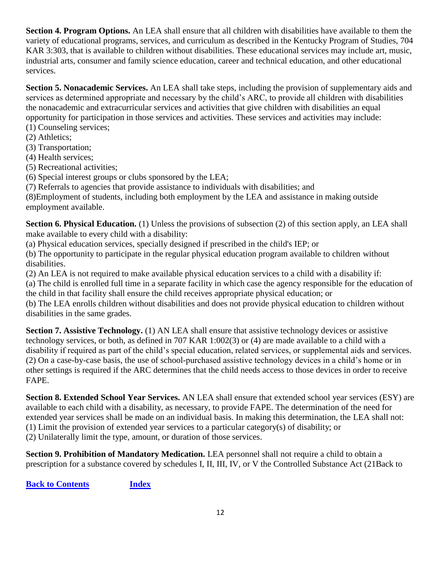**Section 4. Program Options.** An LEA shall ensure that all children with disabilities have available to them the variety of educational programs, services, and curriculum as described in the Kentucky Program of Studies, 704 KAR 3:303, that is available to children without disabilities. These educational services may include art, music, industrial arts, consumer and family science education, career and technical education, and other educational services.

**Section 5. Nonacademic Services.** An LEA shall take steps, including the provision of supplementary aids and services as determined appropriate and necessary by the child's ARC, to provide all children with disabilities the nonacademic and extracurricular services and activities that give children with disabilities an equal opportunity for participation in those services and activities. These services and activities may include: (1) Counseling services;

- (2) Athletics;
- (3) Transportation;
- (4) Health services;
- (5) Recreational activities;

(6) Special interest groups or clubs sponsored by the LEA;

(7) Referrals to agencies that provide assistance to individuals with disabilities; and

(8)Employment of students, including both employment by the LEA and assistance in making outside employment available.

**Section 6. Physical Education.** (1) Unless the provisions of subsection (2) of this section apply, an LEA shall make available to every child with a disability:

(a) Physical education services, specially designed if prescribed in the child's IEP; or

(b) The opportunity to participate in the regular physical education program available to children without disabilities.

(2) An LEA is not required to make available physical education services to a child with a disability if:

(a) The child is enrolled full time in a separate facility in which case the agency responsible for the education of the child in that facility shall ensure the child receives appropriate physical education; or

(b) The LEA enrolls children without disabilities and does not provide physical education to children without disabilities in the same grades.

**Section 7. Assistive Technology.** (1) AN LEA shall ensure that assistive technology devices or assistive technology services, or both, as defined in 707 KAR 1:002(3) or (4) are made available to a child with a disability if required as part of the child's special education, related services, or supplemental aids and services. (2) On a case-by-case basis, the use of school-purchased assistive technology devices in a child's home or in other settings is required if the ARC determines that the child needs access to those devices in order to receive FAPE.

**Section 8. Extended School Year Services.** AN LEA shall ensure that extended school year services (ESY) are available to each child with a disability, as necessary, to provide FAPE. The determination of the need for extended year services shall be made on an individual basis. In making this determination, the LEA shall not: (1) Limit the provision of extended year services to a particular category(s) of disability; or (2) Unilaterally limit the type, amount, or duration of those services.

**Section 9. Prohibition of Mandatory Medication.** LEA personnel shall not require a child to obtain a prescription for a substance covered by schedules I, II, III, IV, or V the Controlled Substance Act (21Back to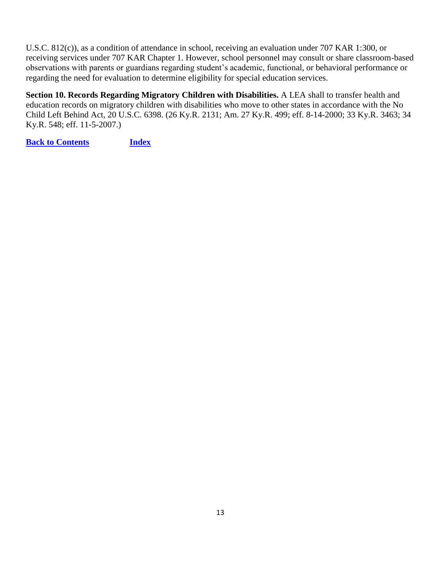U.S.C. 812(c)), as a condition of attendance in school, receiving an evaluation under 707 KAR 1:300, or receiving services under 707 KAR Chapter 1. However, school personnel may consult or share classroom-based observations with parents or guardians regarding student's academic, functional, or behavioral performance or regarding the need for evaluation to determine eligibility for special education services.

**Section 10. Records Regarding Migratory Children with Disabilities.** A LEA shall to transfer health and education records on migratory children with disabilities who move to other states in accordance with the No Child Left Behind Act, 20 U.S.C. 6398. (26 Ky.R. 2131; Am. 27 Ky.R. 499; eff. 8-14-2000; 33 Ky.R. 3463; 34 Ky.R. 548; eff. 11-5-2007.)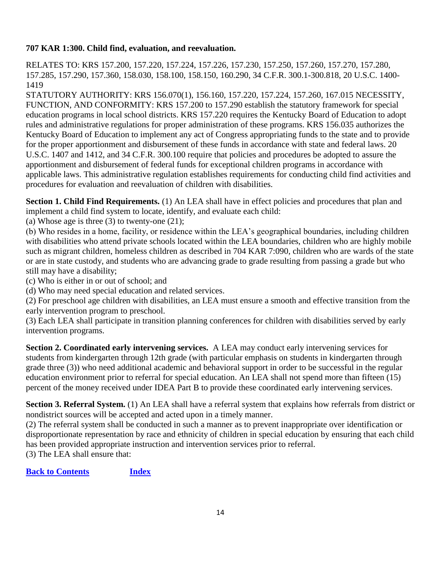# <span id="page-14-0"></span>**707 KAR 1:300. Child find, evaluation, and reevaluation.**

RELATES TO: KRS 157.200, 157.220, 157.224, 157.226, 157.230, 157.250, 157.260, 157.270, 157.280, 157.285, 157.290, 157.360, 158.030, 158.100, 158.150, 160.290, 34 C.F.R. 300.1-300.818, 20 U.S.C. 1400- 1419

STATUTORY AUTHORITY: KRS 156.070(1), 156.160, 157.220, 157.224, 157.260, 167.015 NECESSITY, FUNCTION, AND CONFORMITY: KRS 157.200 to 157.290 establish the statutory framework for special education programs in local school districts. KRS 157.220 requires the Kentucky Board of Education to adopt rules and administrative regulations for proper administration of these programs. KRS 156.035 authorizes the Kentucky Board of Education to implement any act of Congress appropriating funds to the state and to provide for the proper apportionment and disbursement of these funds in accordance with state and federal laws. 20 U.S.C. 1407 and 1412, and 34 C.F.R. 300.100 require that policies and procedures be adopted to assure the apportionment and disbursement of federal funds for exceptional children programs in accordance with applicable laws. This administrative regulation establishes requirements for conducting child find activities and procedures for evaluation and reevaluation of children with disabilities.

**Section 1. Child Find Requirements.** (1) An LEA shall have in effect policies and procedures that plan and implement a child find system to locate, identify, and evaluate each child:

(a) Whose age is three  $(3)$  to twenty-one  $(21)$ ;

(b) Who resides in a home, facility, or residence within the LEA's geographical boundaries, including children with disabilities who attend private schools located within the LEA boundaries, children who are highly mobile such as migrant children, homeless children as described in 704 KAR 7:090, children who are wards of the state or are in state custody, and students who are advancing grade to grade resulting from passing a grade but who still may have a disability;

(c) Who is either in or out of school; and

(d) Who may need special education and related services.

(2) For preschool age children with disabilities, an LEA must ensure a smooth and effective transition from the early intervention program to preschool.

(3) Each LEA shall participate in transition planning conferences for children with disabilities served by early intervention programs.

**Section 2. Coordinated early intervening services.** A LEA may conduct early intervening services for students from kindergarten through 12th grade (with particular emphasis on students in kindergarten through grade three (3)) who need additional academic and behavioral support in order to be successful in the regular education environment prior to referral for special education. An LEA shall not spend more than fifteen (15) percent of the money received under IDEA Part B to provide these coordinated early intervening services.

**Section 3. Referral System.** (1) An LEA shall have a referral system that explains how referrals from district or nondistrict sources will be accepted and acted upon in a timely manner.

(2) The referral system shall be conducted in such a manner as to prevent inappropriate over identification or disproportionate representation by race and ethnicity of children in special education by ensuring that each child has been provided appropriate instruction and intervention services prior to referral. (3) The LEA shall ensure that: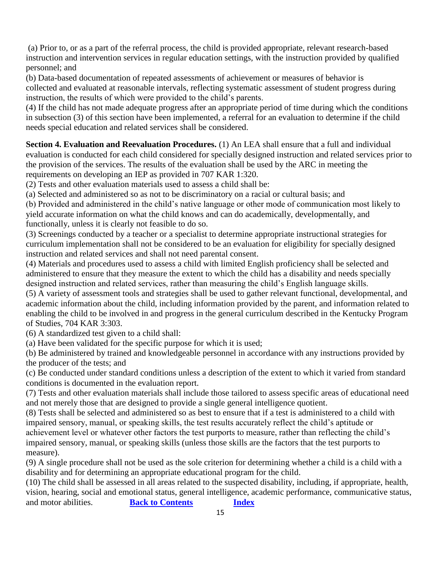(a) Prior to, or as a part of the referral process, the child is provided appropriate, relevant research-based instruction and intervention services in regular education settings, with the instruction provided by qualified personnel; and

(b) Data-based documentation of repeated assessments of achievement or measures of behavior is collected and evaluated at reasonable intervals, reflecting systematic assessment of student progress during instruction, the results of which were provided to the child's parents.

(4) If the child has not made adequate progress after an appropriate period of time during which the conditions in subsection (3) of this section have been implemented, a referral for an evaluation to determine if the child needs special education and related services shall be considered.

**Section 4. Evaluation and Reevaluation Procedures.** (1) An LEA shall ensure that a full and individual evaluation is conducted for each child considered for specially designed instruction and related services prior to the provision of the services. The results of the evaluation shall be used by the ARC in meeting the requirements on developing an IEP as provided in 707 KAR 1:320.

(2) Tests and other evaluation materials used to assess a child shall be:

(a) Selected and administered so as not to be discriminatory on a racial or cultural basis; and

(b) Provided and administered in the child's native language or other mode of communication most likely to yield accurate information on what the child knows and can do academically, developmentally, and functionally, unless it is clearly not feasible to do so.

(3) Screenings conducted by a teacher or a specialist to determine appropriate instructional strategies for curriculum implementation shall not be considered to be an evaluation for eligibility for specially designed instruction and related services and shall not need parental consent.

(4) Materials and procedures used to assess a child with limited English proficiency shall be selected and administered to ensure that they measure the extent to which the child has a disability and needs specially designed instruction and related services, rather than measuring the child's English language skills.

(5) A variety of assessment tools and strategies shall be used to gather relevant functional, developmental, and academic information about the child, including information provided by the parent, and information related to enabling the child to be involved in and progress in the general curriculum described in the Kentucky Program of Studies, 704 KAR 3:303.

(6) A standardized test given to a child shall:

(a) Have been validated for the specific purpose for which it is used;

(b) Be administered by trained and knowledgeable personnel in accordance with any instructions provided by the producer of the tests; and

(c) Be conducted under standard conditions unless a description of the extent to which it varied from standard conditions is documented in the evaluation report.

(7) Tests and other evaluation materials shall include those tailored to assess specific areas of educational need and not merely those that are designed to provide a single general intelligence quotient.

(8) Tests shall be selected and administered so as best to ensure that if a test is administered to a child with impaired sensory, manual, or speaking skills, the test results accurately reflect the child's aptitude or achievement level or whatever other factors the test purports to measure, rather than reflecting the child's impaired sensory, manual, or speaking skills (unless those skills are the factors that the test purports to measure).

(9) A single procedure shall not be used as the sole criterion for determining whether a child is a child with a disability and for determining an appropriate educational program for the child.

(10) The child shall be assessed in all areas related to the suspected disability, including, if appropriate, health, vision, hearing, social and emotional status, general intelligence, academic performance, communicative status, and motor abilities. **[Back to Contents](#page-1-0) [Index](#page-52-0)**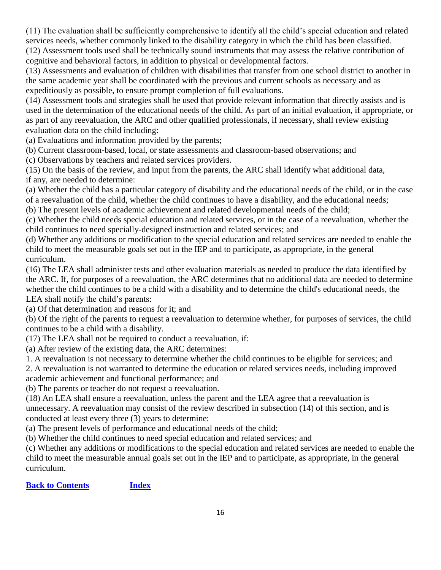(11) The evaluation shall be sufficiently comprehensive to identify all the child's special education and related services needs, whether commonly linked to the disability category in which the child has been classified. (12) Assessment tools used shall be technically sound instruments that may assess the relative contribution of

cognitive and behavioral factors, in addition to physical or developmental factors.

(13) Assessments and evaluation of children with disabilities that transfer from one school district to another in the same academic year shall be coordinated with the previous and current schools as necessary and as expeditiously as possible, to ensure prompt completion of full evaluations.

(14) Assessment tools and strategies shall be used that provide relevant information that directly assists and is used in the determination of the educational needs of the child. As part of an initial evaluation, if appropriate, or as part of any reevaluation, the ARC and other qualified professionals, if necessary, shall review existing evaluation data on the child including:

(a) Evaluations and information provided by the parents;

(b) Current classroom-based, local, or state assessments and classroom-based observations; and

(c) Observations by teachers and related services providers.

(15) On the basis of the review, and input from the parents, the ARC shall identify what additional data, if any, are needed to determine:

(a) Whether the child has a particular category of disability and the educational needs of the child, or in the case of a reevaluation of the child, whether the child continues to have a disability, and the educational needs;

(b) The present levels of academic achievement and related developmental needs of the child;

(c) Whether the child needs special education and related services, or in the case of a reevaluation, whether the child continues to need specially-designed instruction and related services; and

(d) Whether any additions or modification to the special education and related services are needed to enable the child to meet the measurable goals set out in the IEP and to participate, as appropriate, in the general curriculum.

(16) The LEA shall administer tests and other evaluation materials as needed to produce the data identified by the ARC. If, for purposes of a reevaluation, the ARC determines that no additional data are needed to determine whether the child continues to be a child with a disability and to determine the child's educational needs, the LEA shall notify the child's parents:

(a) Of that determination and reasons for it; and

(b) Of the right of the parents to request a reevaluation to determine whether, for purposes of services, the child continues to be a child with a disability.

(17) The LEA shall not be required to conduct a reevaluation, if:

(a) After review of the existing data, the ARC determines:

1. A reevaluation is not necessary to determine whether the child continues to be eligible for services; and

2. A reevaluation is not warranted to determine the education or related services needs, including improved academic achievement and functional performance; and

(b) The parents or teacher do not request a reevaluation.

(18) An LEA shall ensure a reevaluation, unless the parent and the LEA agree that a reevaluation is unnecessary. A reevaluation may consist of the review described in subsection (14) of this section, and is conducted at least every three (3) years to determine:

(a) The present levels of performance and educational needs of the child;

(b) Whether the child continues to need special education and related services; and

(c) Whether any additions or modifications to the special education and related services are needed to enable the child to meet the measurable annual goals set out in the IEP and to participate, as appropriate, in the general curriculum.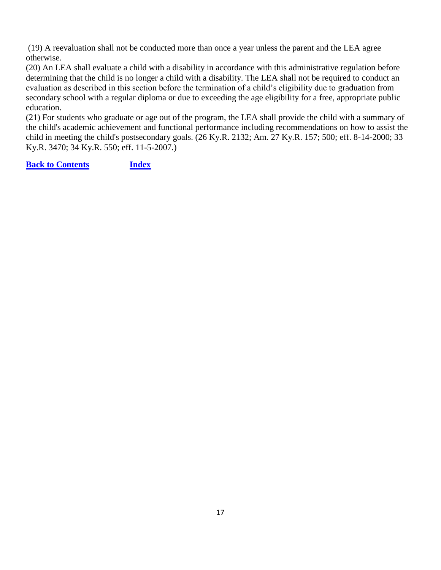(19) A reevaluation shall not be conducted more than once a year unless the parent and the LEA agree otherwise.

(20) An LEA shall evaluate a child with a disability in accordance with this administrative regulation before determining that the child is no longer a child with a disability. The LEA shall not be required to conduct an evaluation as described in this section before the termination of a child's eligibility due to graduation from secondary school with a regular diploma or due to exceeding the age eligibility for a free, appropriate public education.

(21) For students who graduate or age out of the program, the LEA shall provide the child with a summary of the child's academic achievement and functional performance including recommendations on how to assist the child in meeting the child's postsecondary goals. (26 Ky.R. 2132; Am. 27 Ky.R. 157; 500; eff. 8-14-2000; 33 Ky.R. 3470; 34 Ky.R. 550; eff. 11-5-2007.)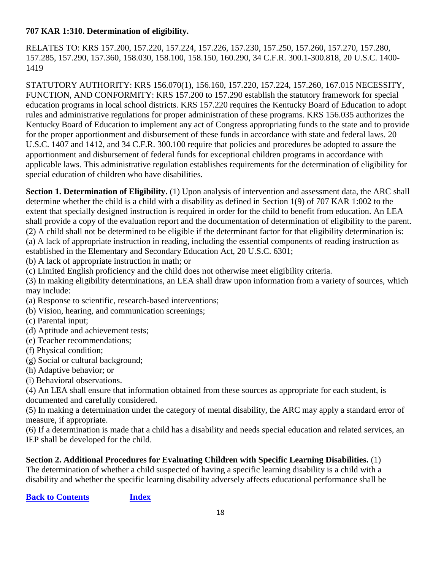# <span id="page-18-0"></span>**707 KAR 1:310. Determination of eligibility.**

RELATES TO: KRS 157.200, 157.220, 157.224, 157.226, 157.230, 157.250, 157.260, 157.270, 157.280, 157.285, 157.290, 157.360, 158.030, 158.100, 158.150, 160.290, 34 C.F.R. 300.1-300.818, 20 U.S.C. 1400- 1419

STATUTORY AUTHORITY: KRS 156.070(1), 156.160, 157.220, 157.224, 157.260, 167.015 NECESSITY, FUNCTION, AND CONFORMITY: KRS 157.200 to 157.290 establish the statutory framework for special education programs in local school districts. KRS 157.220 requires the Kentucky Board of Education to adopt rules and administrative regulations for proper administration of these programs. KRS 156.035 authorizes the Kentucky Board of Education to implement any act of Congress appropriating funds to the state and to provide for the proper apportionment and disbursement of these funds in accordance with state and federal laws. 20 U.S.C. 1407 and 1412, and 34 C.F.R. 300.100 require that policies and procedures be adopted to assure the apportionment and disbursement of federal funds for exceptional children programs in accordance with applicable laws. This administrative regulation establishes requirements for the determination of eligibility for special education of children who have disabilities.

**Section 1. Determination of Eligibility.** (1) Upon analysis of intervention and assessment data, the ARC shall determine whether the child is a child with a disability as defined in Section 1(9) of 707 KAR 1:002 to the extent that specially designed instruction is required in order for the child to benefit from education. An LEA shall provide a copy of the evaluation report and the documentation of determination of eligibility to the parent. (2) A child shall not be determined to be eligible if the determinant factor for that eligibility determination is: (a) A lack of appropriate instruction in reading, including the essential components of reading instruction as established in the Elementary and Secondary Education Act, 20 U.S.C. 6301;

(b) A lack of appropriate instruction in math; or

(c) Limited English proficiency and the child does not otherwise meet eligibility criteria.

(3) In making eligibility determinations, an LEA shall draw upon information from a variety of sources, which may include:

(a) Response to scientific, research-based interventions;

(b) Vision, hearing, and communication screenings;

(c) Parental input;

(d) Aptitude and achievement tests;

(e) Teacher recommendations;

(f) Physical condition;

(g) Social or cultural background;

(h) Adaptive behavior; or

(i) Behavioral observations.

(4) An LEA shall ensure that information obtained from these sources as appropriate for each student, is documented and carefully considered.

(5) In making a determination under the category of mental disability, the ARC may apply a standard error of measure, if appropriate.

(6) If a determination is made that a child has a disability and needs special education and related services, an IEP shall be developed for the child.

### **Section 2. Additional Procedures for Evaluating Children with Specific Learning Disabilities.** (1)

The determination of whether a child suspected of having a specific learning disability is a child with a disability and whether the specific learning disability adversely affects educational performance shall be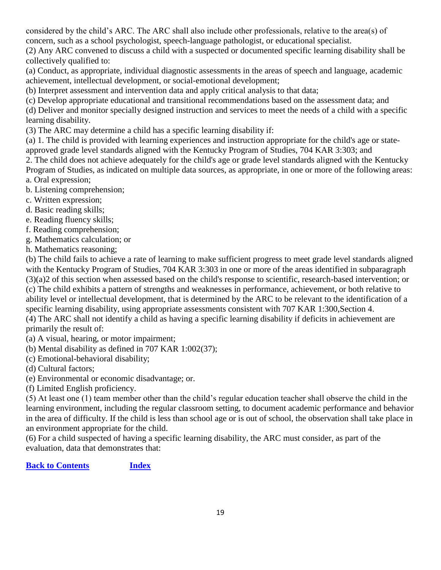considered by the child's ARC. The ARC shall also include other professionals, relative to the area(s) of concern, such as a school psychologist, speech-language pathologist, or educational specialist.

(2) Any ARC convened to discuss a child with a suspected or documented specific learning disability shall be collectively qualified to:

(a) Conduct, as appropriate, individual diagnostic assessments in the areas of speech and language, academic achievement, intellectual development, or social-emotional development;

(b) Interpret assessment and intervention data and apply critical analysis to that data;

(c) Develop appropriate educational and transitional recommendations based on the assessment data; and (d) Deliver and monitor specially designed instruction and services to meet the needs of a child with a specific

learning disability.

(3) The ARC may determine a child has a specific learning disability if:

(a) 1. The child is provided with learning experiences and instruction appropriate for the child's age or stateapproved grade level standards aligned with the Kentucky Program of Studies, 704 KAR 3:303; and

2. The child does not achieve adequately for the child's age or grade level standards aligned with the Kentucky Program of Studies, as indicated on multiple data sources, as appropriate, in one or more of the following areas:

- a. Oral expression;
- b. Listening comprehension;
- c. Written expression;
- d. Basic reading skills;
- e. Reading fluency skills;
- f. Reading comprehension;
- g. Mathematics calculation; or
- h. Mathematics reasoning;

(b) The child fails to achieve a rate of learning to make sufficient progress to meet grade level standards aligned with the Kentucky Program of Studies, 704 KAR 3:303 in one or more of the areas identified in subparagraph (3)(a)2 of this section when assessed based on the child's response to scientific, research-based intervention; or (c) The child exhibits a pattern of strengths and weaknesses in performance, achievement, or both relative to ability level or intellectual development, that is determined by the ARC to be relevant to the identification of a

specific learning disability, using appropriate assessments consistent with 707 KAR 1:300, Section 4.

(4) The ARC shall not identify a child as having a specific learning disability if deficits in achievement are primarily the result of:

- (a) A visual, hearing, or motor impairment;
- (b) Mental disability as defined in 707 KAR 1:002(37);
- (c) Emotional-behavioral disability;
- (d) Cultural factors;
- (e) Environmental or economic disadvantage; or.

(f) Limited English proficiency.

(5) At least one (1) team member other than the child's regular education teacher shall observe the child in the learning environment, including the regular classroom setting, to document academic performance and behavior in the area of difficulty. If the child is less than school age or is out of school, the observation shall take place in an environment appropriate for the child.

(6) For a child suspected of having a specific learning disability, the ARC must consider, as part of the evaluation, data that demonstrates that: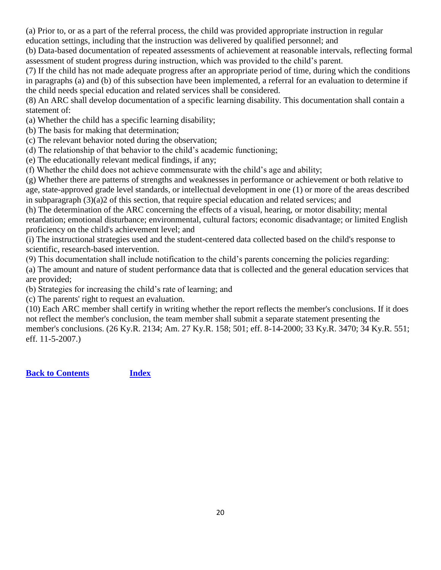(a) Prior to, or as a part of the referral process, the child was provided appropriate instruction in regular education settings, including that the instruction was delivered by qualified personnel; and

(b) Data-based documentation of repeated assessments of achievement at reasonable intervals, reflecting formal assessment of student progress during instruction, which was provided to the child's parent.

(7) If the child has not made adequate progress after an appropriate period of time, during which the conditions in paragraphs (a) and (b) of this subsection have been implemented, a referral for an evaluation to determine if the child needs special education and related services shall be considered.

(8) An ARC shall develop documentation of a specific learning disability. This documentation shall contain a statement of:

(a) Whether the child has a specific learning disability;

- (b) The basis for making that determination;
- (c) The relevant behavior noted during the observation;
- (d) The relationship of that behavior to the child's academic functioning;
- (e) The educationally relevant medical findings, if any;
- (f) Whether the child does not achieve commensurate with the child's age and ability;

(g) Whether there are patterns of strengths and weaknesses in performance or achievement or both relative to age, state-approved grade level standards, or intellectual development in one (1) or more of the areas described in subparagraph (3)(a)2 of this section, that require special education and related services; and

(h) The determination of the ARC concerning the effects of a visual, hearing, or motor disability; mental retardation; emotional disturbance; environmental, cultural factors; economic disadvantage; or limited English proficiency on the child's achievement level; and

(i) The instructional strategies used and the student-centered data collected based on the child's response to scientific, research-based intervention.

(9) This documentation shall include notification to the child's parents concerning the policies regarding:

(a) The amount and nature of student performance data that is collected and the general education services that are provided;

(b) Strategies for increasing the child's rate of learning; and

(c) The parents' right to request an evaluation.

(10) Each ARC member shall certify in writing whether the report reflects the member's conclusions. If it does not reflect the member's conclusion, the team member shall submit a separate statement presenting the member's conclusions. (26 Ky.R. 2134; Am. 27 Ky.R. 158; 501; eff. 8-14-2000; 33 Ky.R. 3470; 34 Ky.R. 551; eff. 11-5-2007.)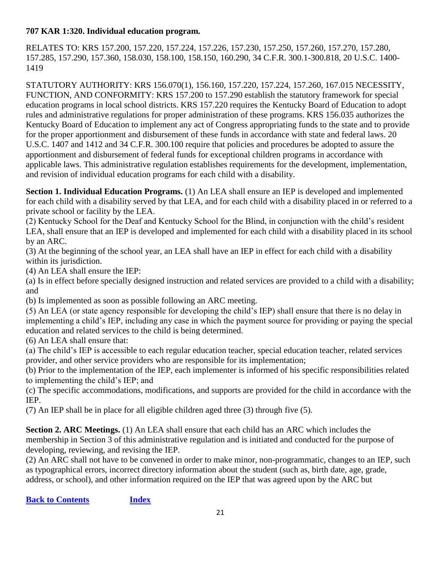# <span id="page-21-0"></span>**707 KAR 1:320. Individual education program.**

RELATES TO: KRS 157.200, 157.220, 157.224, 157.226, 157.230, 157.250, 157.260, 157.270, 157.280, 157.285, 157.290, 157.360, 158.030, 158.100, 158.150, 160.290, 34 C.F.R. 300.1-300.818, 20 U.S.C. 1400- 1419

STATUTORY AUTHORITY: KRS 156.070(1), 156.160, 157.220, 157.224, 157.260, 167.015 NECESSITY, FUNCTION, AND CONFORMITY: KRS 157.200 to 157.290 establish the statutory framework for special education programs in local school districts. KRS 157.220 requires the Kentucky Board of Education to adopt rules and administrative regulations for proper administration of these programs. KRS 156.035 authorizes the Kentucky Board of Education to implement any act of Congress appropriating funds to the state and to provide for the proper apportionment and disbursement of these funds in accordance with state and federal laws. 20 U.S.C. 1407 and 1412 and 34 C.F.R. 300.100 require that policies and procedures be adopted to assure the apportionment and disbursement of federal funds for exceptional children programs in accordance with applicable laws. This administrative regulation establishes requirements for the development, implementation, and revision of individual education programs for each child with a disability.

**Section 1. Individual Education Programs.** (1) An LEA shall ensure an IEP is developed and implemented for each child with a disability served by that LEA, and for each child with a disability placed in or referred to a private school or facility by the LEA.

(2) Kentucky School for the Deaf and Kentucky School for the Blind, in conjunction with the child's resident LEA, shall ensure that an IEP is developed and implemented for each child with a disability placed in its school by an ARC.

(3) At the beginning of the school year, an LEA shall have an IEP in effect for each child with a disability within its jurisdiction.

(4) An LEA shall ensure the IEP:

(a) Is in effect before specially designed instruction and related services are provided to a child with a disability; and

(b) Is implemented as soon as possible following an ARC meeting.

(5) An LEA (or state agency responsible for developing the child's IEP) shall ensure that there is no delay in implementing a child's IEP, including any case in which the payment source for providing or paying the special education and related services to the child is being determined.

(6) An LEA shall ensure that:

(a) The child's IEP is accessible to each regular education teacher, special education teacher, related services provider, and other service providers who are responsible for its implementation;

(b) Prior to the implementation of the IEP, each implementer is informed of his specific responsibilities related to implementing the child's IEP; and

(c) The specific accommodations, modifications, and supports are provided for the child in accordance with the IEP.

(7) An IEP shall be in place for all eligible children aged three (3) through five (5).

**Section 2. ARC Meetings.** (1) An LEA shall ensure that each child has an ARC which includes the membership in Section 3 of this administrative regulation and is initiated and conducted for the purpose of developing, reviewing, and revising the IEP.

(2) An ARC shall not have to be convened in order to make minor, non-programmatic, changes to an IEP, such as typographical errors, incorrect directory information about the student (such as, birth date, age, grade, address, or school), and other information required on the IEP that was agreed upon by the ARC but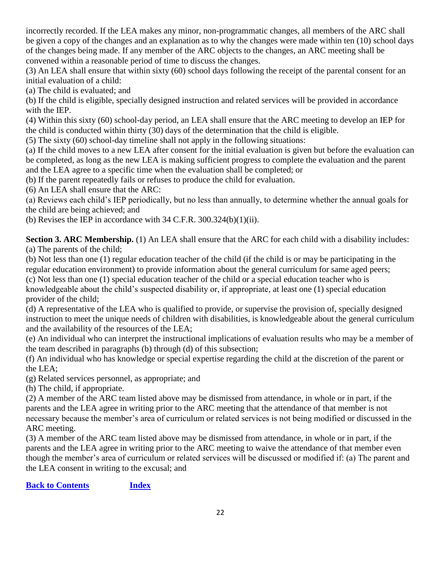incorrectly recorded. If the LEA makes any minor, non-programmatic changes, all members of the ARC shall be given a copy of the changes and an explanation as to why the changes were made within ten (10) school days of the changes being made. If any member of the ARC objects to the changes, an ARC meeting shall be convened within a reasonable period of time to discuss the changes.

(3) An LEA shall ensure that within sixty (60) school days following the receipt of the parental consent for an initial evaluation of a child:

(a) The child is evaluated; and

(b) If the child is eligible, specially designed instruction and related services will be provided in accordance with the IEP.

(4) Within this sixty (60) school-day period, an LEA shall ensure that the ARC meeting to develop an IEP for the child is conducted within thirty (30) days of the determination that the child is eligible.

(5) The sixty (60) school-day timeline shall not apply in the following situations:

(a) If the child moves to a new LEA after consent for the initial evaluation is given but before the evaluation can be completed, as long as the new LEA is making sufficient progress to complete the evaluation and the parent and the LEA agree to a specific time when the evaluation shall be completed; or

(b) If the parent repeatedly fails or refuses to produce the child for evaluation.

(6) An LEA shall ensure that the ARC:

(a) Reviews each child's IEP periodically, but no less than annually, to determine whether the annual goals for the child are being achieved; and

(b) Revises the IEP in accordance with  $34$  C.F.R.  $300.324(b)(1)(ii)$ .

**Section 3. ARC Membership.** (1) An LEA shall ensure that the ARC for each child with a disability includes: (a) The parents of the child;

(b) Not less than one (1) regular education teacher of the child (if the child is or may be participating in the regular education environment) to provide information about the general curriculum for same aged peers;

(c) Not less than one (1) special education teacher of the child or a special education teacher who is knowledgeable about the child's suspected disability or, if appropriate, at least one (1) special education provider of the child;

(d) A representative of the LEA who is qualified to provide, or supervise the provision of, specially designed instruction to meet the unique needs of children with disabilities, is knowledgeable about the general curriculum and the availability of the resources of the LEA;

(e) An individual who can interpret the instructional implications of evaluation results who may be a member of the team described in paragraphs (b) through (d) of this subsection;

(f) An individual who has knowledge or special expertise regarding the child at the discretion of the parent or the LEA;

(g) Related services personnel, as appropriate; and

(h) The child, if appropriate.

(2) A member of the ARC team listed above may be dismissed from attendance, in whole or in part, if the parents and the LEA agree in writing prior to the ARC meeting that the attendance of that member is not necessary because the member's area of curriculum or related services is not being modified or discussed in the ARC meeting.

(3) A member of the ARC team listed above may be dismissed from attendance, in whole or in part, if the parents and the LEA agree in writing prior to the ARC meeting to waive the attendance of that member even though the member's area of curriculum or related services will be discussed or modified if: (a) The parent and the LEA consent in writing to the excusal; and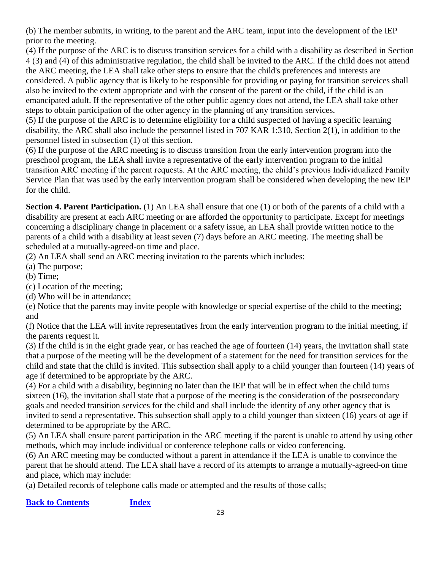(b) The member submits, in writing, to the parent and the ARC team, input into the development of the IEP prior to the meeting.

(4) If the purpose of the ARC is to discuss transition services for a child with a disability as described in Section 4 (3) and (4) of this administrative regulation, the child shall be invited to the ARC. If the child does not attend the ARC meeting, the LEA shall take other steps to ensure that the child's preferences and interests are considered. A public agency that is likely to be responsible for providing or paying for transition services shall also be invited to the extent appropriate and with the consent of the parent or the child, if the child is an emancipated adult. If the representative of the other public agency does not attend, the LEA shall take other steps to obtain participation of the other agency in the planning of any transition services.

(5) If the purpose of the ARC is to determine eligibility for a child suspected of having a specific learning disability, the ARC shall also include the personnel listed in 707 KAR 1:310, Section 2(1), in addition to the personnel listed in subsection (1) of this section.

(6) If the purpose of the ARC meeting is to discuss transition from the early intervention program into the preschool program, the LEA shall invite a representative of the early intervention program to the initial transition ARC meeting if the parent requests. At the ARC meeting, the child's previous Individualized Family Service Plan that was used by the early intervention program shall be considered when developing the new IEP for the child.

**Section 4. Parent Participation.** (1) An LEA shall ensure that one (1) or both of the parents of a child with a disability are present at each ARC meeting or are afforded the opportunity to participate. Except for meetings concerning a disciplinary change in placement or a safety issue, an LEA shall provide written notice to the parents of a child with a disability at least seven (7) days before an ARC meeting. The meeting shall be scheduled at a mutually-agreed-on time and place.

(2) An LEA shall send an ARC meeting invitation to the parents which includes:

(a) The purpose;

(b) Time;

(c) Location of the meeting;

(d) Who will be in attendance;

(e) Notice that the parents may invite people with knowledge or special expertise of the child to the meeting; and

(f) Notice that the LEA will invite representatives from the early intervention program to the initial meeting, if the parents request it.

(3) If the child is in the eight grade year, or has reached the age of fourteen (14) years, the invitation shall state that a purpose of the meeting will be the development of a statement for the need for transition services for the child and state that the child is invited. This subsection shall apply to a child younger than fourteen (14) years of age if determined to be appropriate by the ARC.

(4) For a child with a disability, beginning no later than the IEP that will be in effect when the child turns sixteen (16), the invitation shall state that a purpose of the meeting is the consideration of the postsecondary goals and needed transition services for the child and shall include the identity of any other agency that is invited to send a representative. This subsection shall apply to a child younger than sixteen (16) years of age if determined to be appropriate by the ARC.

(5) An LEA shall ensure parent participation in the ARC meeting if the parent is unable to attend by using other methods, which may include individual or conference telephone calls or video conferencing.

(6) An ARC meeting may be conducted without a parent in attendance if the LEA is unable to convince the parent that he should attend. The LEA shall have a record of its attempts to arrange a mutually-agreed-on time and place, which may include:

(a) Detailed records of telephone calls made or attempted and the results of those calls;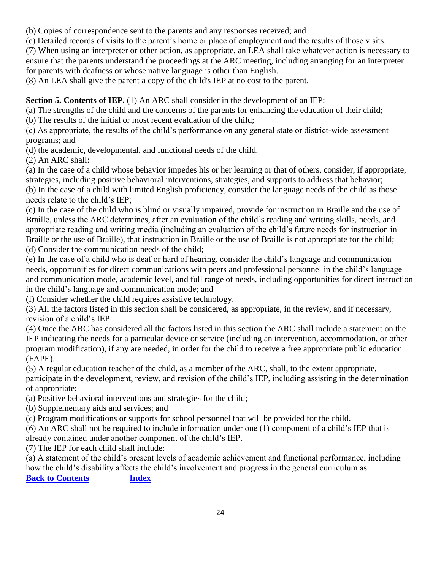(b) Copies of correspondence sent to the parents and any responses received; and

(c) Detailed records of visits to the parent's home or place of employment and the results of those visits.

(7) When using an interpreter or other action, as appropriate, an LEA shall take whatever action is necessary to ensure that the parents understand the proceedings at the ARC meeting, including arranging for an interpreter for parents with deafness or whose native language is other than English.

(8) An LEA shall give the parent a copy of the child's IEP at no cost to the parent.

**Section 5. Contents of IEP.** (1) An ARC shall consider in the development of an IEP:

(a) The strengths of the child and the concerns of the parents for enhancing the education of their child;

(b) The results of the initial or most recent evaluation of the child;

(c) As appropriate, the results of the child's performance on any general state or district-wide assessment programs; and

(d) the academic, developmental, and functional needs of the child.

(2) An ARC shall:

(a) In the case of a child whose behavior impedes his or her learning or that of others, consider, if appropriate, strategies, including positive behavioral interventions, strategies, and supports to address that behavior; (b) In the case of a child with limited English proficiency, consider the language needs of the child as those needs relate to the child's IEP;

(c) In the case of the child who is blind or visually impaired, provide for instruction in Braille and the use of Braille, unless the ARC determines, after an evaluation of the child's reading and writing skills, needs, and appropriate reading and writing media (including an evaluation of the child's future needs for instruction in Braille or the use of Braille), that instruction in Braille or the use of Braille is not appropriate for the child; (d) Consider the communication needs of the child;

(e) In the case of a child who is deaf or hard of hearing, consider the child's language and communication needs, opportunities for direct communications with peers and professional personnel in the child's language and communication mode, academic level, and full range of needs, including opportunities for direct instruction in the child's language and communication mode; and

(f) Consider whether the child requires assistive technology.

(3) All the factors listed in this section shall be considered, as appropriate, in the review, and if necessary, revision of a child's IEP.

(4) Once the ARC has considered all the factors listed in this section the ARC shall include a statement on the IEP indicating the needs for a particular device or service (including an intervention, accommodation, or other program modification), if any are needed, in order for the child to receive a free appropriate public education (FAPE).

(5) A regular education teacher of the child, as a member of the ARC, shall, to the extent appropriate,

participate in the development, review, and revision of the child's IEP, including assisting in the determination of appropriate:

(a) Positive behavioral interventions and strategies for the child;

(b) Supplementary aids and services; and

(c) Program modifications or supports for school personnel that will be provided for the child.

(6) An ARC shall not be required to include information under one (1) component of a child's IEP that is already contained under another component of the child's IEP.

(7) The IEP for each child shall include:

(a) A statement of the child's present levels of academic achievement and functional performance, including how the child's disability affects the child's involvement and progress in the general curriculum as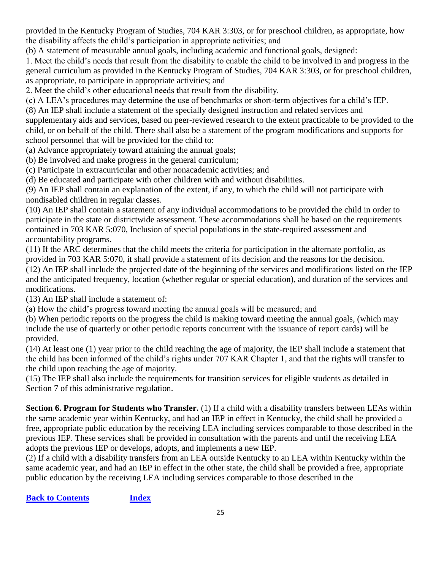provided in the Kentucky Program of Studies, 704 KAR 3:303, or for preschool children, as appropriate, how the disability affects the child's participation in appropriate activities; and

(b) A statement of measurable annual goals, including academic and functional goals, designed:

1. Meet the child's needs that result from the disability to enable the child to be involved in and progress in the general curriculum as provided in the Kentucky Program of Studies, 704 KAR 3:303, or for preschool children, as appropriate, to participate in appropriate activities; and

2. Meet the child's other educational needs that result from the disability.

(c) A LEA's procedures may determine the use of benchmarks or short-term objectives for a child's IEP.

(8) An IEP shall include a statement of the specially designed instruction and related services and supplementary aids and services, based on peer-reviewed research to the extent practicable to be provided to the child, or on behalf of the child. There shall also be a statement of the program modifications and supports for school personnel that will be provided for the child to:

(a) Advance appropriately toward attaining the annual goals;

(b) Be involved and make progress in the general curriculum;

(c) Participate in extracurricular and other nonacademic activities; and

(d) Be educated and participate with other children with and without disabilities.

(9) An IEP shall contain an explanation of the extent, if any, to which the child will not participate with nondisabled children in regular classes.

(10) An IEP shall contain a statement of any individual accommodations to be provided the child in order to participate in the state or districtwide assessment. These accommodations shall be based on the requirements contained in 703 KAR 5:070, Inclusion of special populations in the state-required assessment and accountability programs.

(11) If the ARC determines that the child meets the criteria for participation in the alternate portfolio, as provided in 703 KAR 5:070, it shall provide a statement of its decision and the reasons for the decision. (12) An IEP shall include the projected date of the beginning of the services and modifications listed on the IEP and the anticipated frequency, location (whether regular or special education), and duration of the services and modifications.

(13) An IEP shall include a statement of:

(a) How the child's progress toward meeting the annual goals will be measured; and

(b) When periodic reports on the progress the child is making toward meeting the annual goals, (which may include the use of quarterly or other periodic reports concurrent with the issuance of report cards) will be provided.

(14) At least one (1) year prior to the child reaching the age of majority, the IEP shall include a statement that the child has been informed of the child's rights under 707 KAR Chapter 1, and that the rights will transfer to the child upon reaching the age of majority.

(15) The IEP shall also include the requirements for transition services for eligible students as detailed in Section 7 of this administrative regulation.

**Section 6. Program for Students who Transfer.** (1) If a child with a disability transfers between LEAs within the same academic year within Kentucky, and had an IEP in effect in Kentucky, the child shall be provided a free, appropriate public education by the receiving LEA including services comparable to those described in the previous IEP. These services shall be provided in consultation with the parents and until the receiving LEA adopts the previous IEP or develops, adopts, and implements a new IEP.

(2) If a child with a disability transfers from an LEA outside Kentucky to an LEA within Kentucky within the same academic year, and had an IEP in effect in the other state, the child shall be provided a free, appropriate public education by the receiving LEA including services comparable to those described in the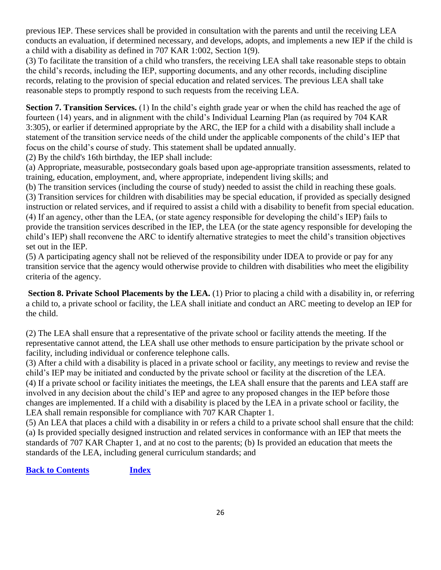previous IEP. These services shall be provided in consultation with the parents and until the receiving LEA conducts an evaluation, if determined necessary, and develops, adopts, and implements a new IEP if the child is a child with a disability as defined in 707 KAR 1:002, Section 1(9).

(3) To facilitate the transition of a child who transfers, the receiving LEA shall take reasonable steps to obtain the child's records, including the IEP, supporting documents, and any other records, including discipline records, relating to the provision of special education and related services. The previous LEA shall take reasonable steps to promptly respond to such requests from the receiving LEA.

**Section 7. Transition Services.** (1) In the child's eighth grade year or when the child has reached the age of fourteen (14) years, and in alignment with the child's Individual Learning Plan (as required by 704 KAR 3:305), or earlier if determined appropriate by the ARC, the IEP for a child with a disability shall include a statement of the transition service needs of the child under the applicable components of the child's IEP that focus on the child's course of study. This statement shall be updated annually.

(2) By the child's 16th birthday, the IEP shall include:

(a) Appropriate, measurable, postsecondary goals based upon age-appropriate transition assessments, related to training, education, employment, and, where appropriate, independent living skills; and

(b) The transition services (including the course of study) needed to assist the child in reaching these goals. (3) Transition services for children with disabilities may be special education, if provided as specially designed instruction or related services, and if required to assist a child with a disability to benefit from special education. (4) If an agency, other than the LEA, (or state agency responsible for developing the child's IEP) fails to provide the transition services described in the IEP, the LEA (or the state agency responsible for developing the child's IEP) shall reconvene the ARC to identify alternative strategies to meet the child's transition objectives set out in the IEP.

(5) A participating agency shall not be relieved of the responsibility under IDEA to provide or pay for any transition service that the agency would otherwise provide to children with disabilities who meet the eligibility criteria of the agency.

**Section 8. Private School Placements by the LEA.** (1) Prior to placing a child with a disability in, or referring a child to, a private school or facility, the LEA shall initiate and conduct an ARC meeting to develop an IEP for the child.

(2) The LEA shall ensure that a representative of the private school or facility attends the meeting. If the representative cannot attend, the LEA shall use other methods to ensure participation by the private school or facility, including individual or conference telephone calls.

(3) After a child with a disability is placed in a private school or facility, any meetings to review and revise the child's IEP may be initiated and conducted by the private school or facility at the discretion of the LEA. (4) If a private school or facility initiates the meetings, the LEA shall ensure that the parents and LEA staff are involved in any decision about the child's IEP and agree to any proposed changes in the IEP before those changes are implemented. If a child with a disability is placed by the LEA in a private school or facility, the LEA shall remain responsible for compliance with 707 KAR Chapter 1.

(5) An LEA that places a child with a disability in or refers a child to a private school shall ensure that the child: (a) Is provided specially designed instruction and related services in conformance with an IEP that meets the standards of 707 KAR Chapter 1, and at no cost to the parents; (b) Is provided an education that meets the standards of the LEA, including general curriculum standards; and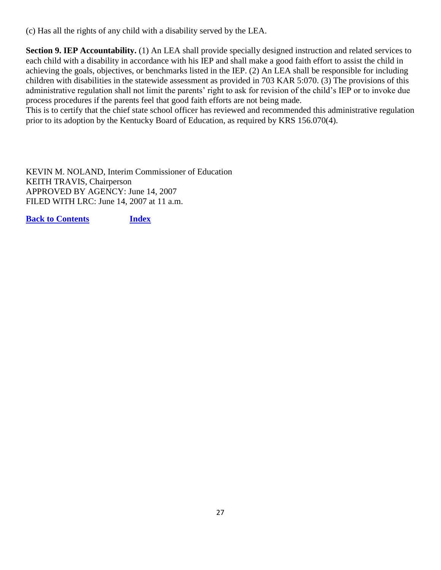(c) Has all the rights of any child with a disability served by the LEA.

**Section 9. IEP Accountability.** (1) An LEA shall provide specially designed instruction and related services to each child with a disability in accordance with his IEP and shall make a good faith effort to assist the child in achieving the goals, objectives, or benchmarks listed in the IEP. (2) An LEA shall be responsible for including children with disabilities in the statewide assessment as provided in 703 KAR 5:070. (3) The provisions of this administrative regulation shall not limit the parents' right to ask for revision of the child's IEP or to invoke due process procedures if the parents feel that good faith efforts are not being made.

This is to certify that the chief state school officer has reviewed and recommended this administrative regulation prior to its adoption by the Kentucky Board of Education, as required by KRS 156.070(4).

KEVIN M. NOLAND, Interim Commissioner of Education KEITH TRAVIS, Chairperson APPROVED BY AGENCY: June 14, 2007 FILED WITH LRC: June 14, 2007 at 11 a.m.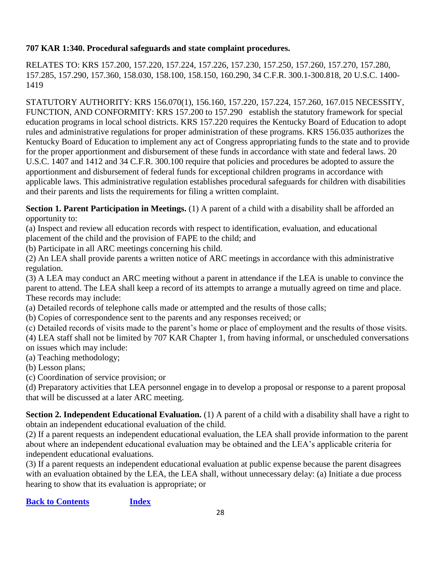### <span id="page-28-0"></span>**707 KAR 1:340. Procedural safeguards and state complaint procedures.**

RELATES TO: KRS 157.200, 157.220, 157.224, 157.226, 157.230, 157.250, 157.260, 157.270, 157.280, 157.285, 157.290, 157.360, 158.030, 158.100, 158.150, 160.290, 34 C.F.R. 300.1-300.818, 20 U.S.C. 1400- 1419

STATUTORY AUTHORITY: KRS 156.070(1), 156.160, 157.220, 157.224, 157.260, 167.015 NECESSITY, FUNCTION, AND CONFORMITY: KRS 157.200 to 157.290 establish the statutory framework for special education programs in local school districts. KRS 157.220 requires the Kentucky Board of Education to adopt rules and administrative regulations for proper administration of these programs. KRS 156.035 authorizes the Kentucky Board of Education to implement any act of Congress appropriating funds to the state and to provide for the proper apportionment and disbursement of these funds in accordance with state and federal laws. 20 U.S.C. 1407 and 1412 and 34 C.F.R. 300.100 require that policies and procedures be adopted to assure the apportionment and disbursement of federal funds for exceptional children programs in accordance with applicable laws. This administrative regulation establishes procedural safeguards for children with disabilities and their parents and lists the requirements for filing a written complaint.

**Section 1. Parent Participation in Meetings.** (1) A parent of a child with a disability shall be afforded an opportunity to:

(a) Inspect and review all education records with respect to identification, evaluation, and educational placement of the child and the provision of FAPE to the child; and

(b) Participate in all ARC meetings concerning his child.

(2) An LEA shall provide parents a written notice of ARC meetings in accordance with this administrative regulation.

(3) A LEA may conduct an ARC meeting without a parent in attendance if the LEA is unable to convince the parent to attend. The LEA shall keep a record of its attempts to arrange a mutually agreed on time and place. These records may include:

(a) Detailed records of telephone calls made or attempted and the results of those calls;

(b) Copies of correspondence sent to the parents and any responses received; or

(c) Detailed records of visits made to the parent's home or place of employment and the results of those visits. (4) LEA staff shall not be limited by 707 KAR Chapter 1, from having informal, or unscheduled conversations on issues which may include:

(a) Teaching methodology;

(b) Lesson plans;

(c) Coordination of service provision; or

(d) Preparatory activities that LEA personnel engage in to develop a proposal or response to a parent proposal that will be discussed at a later ARC meeting.

**Section 2. Independent Educational Evaluation.** (1) A parent of a child with a disability shall have a right to obtain an independent educational evaluation of the child.

(2) If a parent requests an independent educational evaluation, the LEA shall provide information to the parent about where an independent educational evaluation may be obtained and the LEA's applicable criteria for independent educational evaluations.

(3) If a parent requests an independent educational evaluation at public expense because the parent disagrees with an evaluation obtained by the LEA, the LEA shall, without unnecessary delay: (a) Initiate a due process hearing to show that its evaluation is appropriate; or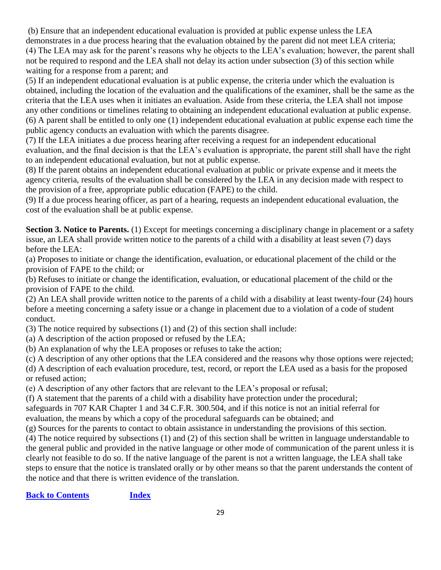(b) Ensure that an independent educational evaluation is provided at public expense unless the LEA demonstrates in a due process hearing that the evaluation obtained by the parent did not meet LEA criteria; (4) The LEA may ask for the parent's reasons why he objects to the LEA's evaluation; however, the parent shall not be required to respond and the LEA shall not delay its action under subsection (3) of this section while waiting for a response from a parent; and

(5) If an independent educational evaluation is at public expense, the criteria under which the evaluation is obtained, including the location of the evaluation and the qualifications of the examiner, shall be the same as the criteria that the LEA uses when it initiates an evaluation. Aside from these criteria, the LEA shall not impose any other conditions or timelines relating to obtaining an independent educational evaluation at public expense. (6) A parent shall be entitled to only one (1) independent educational evaluation at public expense each time the public agency conducts an evaluation with which the parents disagree.

(7) If the LEA initiates a due process hearing after receiving a request for an independent educational evaluation, and the final decision is that the LEA's evaluation is appropriate, the parent still shall have the right to an independent educational evaluation, but not at public expense.

(8) If the parent obtains an independent educational evaluation at public or private expense and it meets the agency criteria, results of the evaluation shall be considered by the LEA in any decision made with respect to the provision of a free, appropriate public education (FAPE) to the child.

(9) If a due process hearing officer, as part of a hearing, requests an independent educational evaluation, the cost of the evaluation shall be at public expense.

**Section 3. Notice to Parents.** (1) Except for meetings concerning a disciplinary change in placement or a safety issue, an LEA shall provide written notice to the parents of a child with a disability at least seven (7) days before the LEA:

(a) Proposes to initiate or change the identification, evaluation, or educational placement of the child or the provision of FAPE to the child; or

(b) Refuses to initiate or change the identification, evaluation, or educational placement of the child or the provision of FAPE to the child.

(2) An LEA shall provide written notice to the parents of a child with a disability at least twenty-four (24) hours before a meeting concerning a safety issue or a change in placement due to a violation of a code of student conduct.

(3) The notice required by subsections (1) and (2) of this section shall include:

(a) A description of the action proposed or refused by the LEA;

(b) An explanation of why the LEA proposes or refuses to take the action;

(c) A description of any other options that the LEA considered and the reasons why those options were rejected; (d) A description of each evaluation procedure, test, record, or report the LEA used as a basis for the proposed or refused action;

(e) A description of any other factors that are relevant to the LEA's proposal or refusal;

(f) A statement that the parents of a child with a disability have protection under the procedural;

safeguards in 707 KAR Chapter 1 and 34 C.F.R. 300.504, and if this notice is not an initial referral for evaluation, the means by which a copy of the procedural safeguards can be obtained; and

(g) Sources for the parents to contact to obtain assistance in understanding the provisions of this section.

(4) The notice required by subsections (1) and (2) of this section shall be written in language understandable to the general public and provided in the native language or other mode of communication of the parent unless it is clearly not feasible to do so. If the native language of the parent is not a written language, the LEA shall take steps to ensure that the notice is translated orally or by other means so that the parent understands the content of the notice and that there is written evidence of the translation.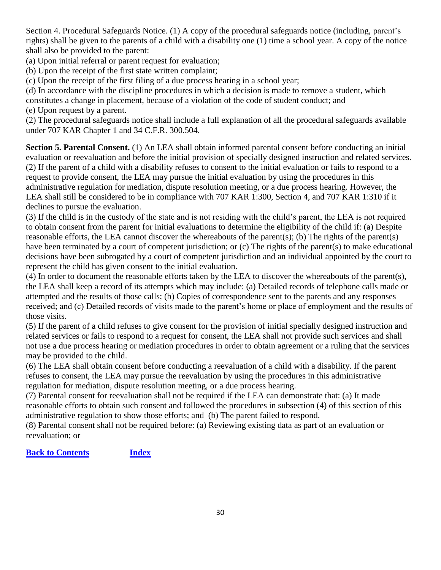Section 4. Procedural Safeguards Notice. (1) A copy of the procedural safeguards notice (including, parent's rights) shall be given to the parents of a child with a disability one (1) time a school year. A copy of the notice shall also be provided to the parent:

(a) Upon initial referral or parent request for evaluation;

(b) Upon the receipt of the first state written complaint;

(c) Upon the receipt of the first filing of a due process hearing in a school year;

(d) In accordance with the discipline procedures in which a decision is made to remove a student, which constitutes a change in placement, because of a violation of the code of student conduct; and

(e) Upon request by a parent.

(2) The procedural safeguards notice shall include a full explanation of all the procedural safeguards available under 707 KAR Chapter 1 and 34 C.F.R. 300.504.

**Section 5. Parental Consent.** (1) An LEA shall obtain informed parental consent before conducting an initial evaluation or reevaluation and before the initial provision of specially designed instruction and related services. (2) If the parent of a child with a disability refuses to consent to the initial evaluation or fails to respond to a request to provide consent, the LEA may pursue the initial evaluation by using the procedures in this administrative regulation for mediation, dispute resolution meeting, or a due process hearing. However, the LEA shall still be considered to be in compliance with 707 KAR 1:300, Section 4, and 707 KAR 1:310 if it declines to pursue the evaluation.

(3) If the child is in the custody of the state and is not residing with the child's parent, the LEA is not required to obtain consent from the parent for initial evaluations to determine the eligibility of the child if: (a) Despite reasonable efforts, the LEA cannot discover the whereabouts of the parent(s); (b) The rights of the parent(s) have been terminated by a court of competent jurisdiction; or (c) The rights of the parent(s) to make educational decisions have been subrogated by a court of competent jurisdiction and an individual appointed by the court to represent the child has given consent to the initial evaluation.

(4) In order to document the reasonable efforts taken by the LEA to discover the whereabouts of the parent(s), the LEA shall keep a record of its attempts which may include: (a) Detailed records of telephone calls made or attempted and the results of those calls; (b) Copies of correspondence sent to the parents and any responses received; and (c) Detailed records of visits made to the parent's home or place of employment and the results of those visits.

(5) If the parent of a child refuses to give consent for the provision of initial specially designed instruction and related services or fails to respond to a request for consent, the LEA shall not provide such services and shall not use a due process hearing or mediation procedures in order to obtain agreement or a ruling that the services may be provided to the child.

(6) The LEA shall obtain consent before conducting a reevaluation of a child with a disability. If the parent refuses to consent, the LEA may pursue the reevaluation by using the procedures in this administrative regulation for mediation, dispute resolution meeting, or a due process hearing.

(7) Parental consent for reevaluation shall not be required if the LEA can demonstrate that: (a) It made reasonable efforts to obtain such consent and followed the procedures in subsection (4) of this section of this administrative regulation to show those efforts; and (b) The parent failed to respond.

(8) Parental consent shall not be required before: (a) Reviewing existing data as part of an evaluation or reevaluation; or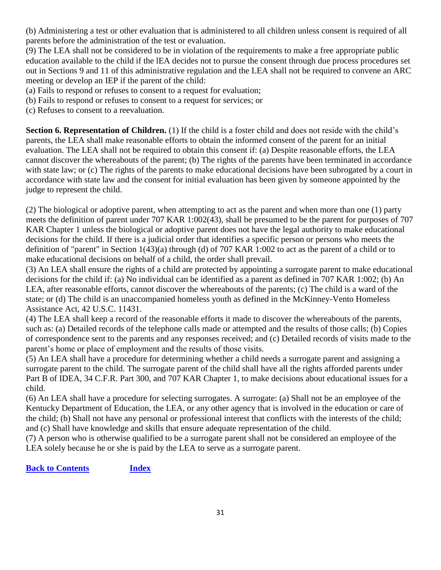(b) Administering a test or other evaluation that is administered to all children unless consent is required of all parents before the administration of the test or evaluation.

(9) The LEA shall not be considered to be in violation of the requirements to make a free appropriate public education available to the child if the lEA decides not to pursue the consent through due process procedures set out in Sections 9 and 11 of this administrative regulation and the LEA shall not be required to convene an ARC meeting or develop an IEP if the parent of the child:

- (a) Fails to respond or refuses to consent to a request for evaluation;
- (b) Fails to respond or refuses to consent to a request for services; or
- (c) Refuses to consent to a reevaluation.

**Section 6. Representation of Children.** (1) If the child is a foster child and does not reside with the child's parents, the LEA shall make reasonable efforts to obtain the informed consent of the parent for an initial evaluation. The LEA shall not be required to obtain this consent if: (a) Despite reasonable efforts, the LEA cannot discover the whereabouts of the parent; (b) The rights of the parents have been terminated in accordance with state law; or (c) The rights of the parents to make educational decisions have been subrogated by a court in accordance with state law and the consent for initial evaluation has been given by someone appointed by the judge to represent the child.

(2) The biological or adoptive parent, when attempting to act as the parent and when more than one (1) party meets the definition of parent under 707 KAR 1:002(43), shall be presumed to be the parent for purposes of 707 KAR Chapter 1 unless the biological or adoptive parent does not have the legal authority to make educational decisions for the child. If there is a judicial order that identifies a specific person or persons who meets the definition of "parent" in Section 1(43)(a) through (d) of 707 KAR 1:002 to act as the parent of a child or to make educational decisions on behalf of a child, the order shall prevail.

(3) An LEA shall ensure the rights of a child are protected by appointing a surrogate parent to make educational decisions for the child if: (a) No individual can be identified as a parent as defined in 707 KAR 1:002; (b) An LEA, after reasonable efforts, cannot discover the whereabouts of the parents; (c) The child is a ward of the state; or (d) The child is an unaccompanied homeless youth as defined in the McKinney-Vento Homeless Assistance Act, 42 U.S.C. 11431.

(4) The LEA shall keep a record of the reasonable efforts it made to discover the whereabouts of the parents, such as: (a) Detailed records of the telephone calls made or attempted and the results of those calls; (b) Copies of correspondence sent to the parents and any responses received; and (c) Detailed records of visits made to the parent's home or place of employment and the results of those visits.

(5) An LEA shall have a procedure for determining whether a child needs a surrogate parent and assigning a surrogate parent to the child. The surrogate parent of the child shall have all the rights afforded parents under Part B of IDEA, 34 C.F.R. Part 300, and 707 KAR Chapter 1, to make decisions about educational issues for a child.

(6) An LEA shall have a procedure for selecting surrogates. A surrogate: (a) Shall not be an employee of the Kentucky Department of Education, the LEA, or any other agency that is involved in the education or care of the child; (b) Shall not have any personal or professional interest that conflicts with the interests of the child; and (c) Shall have knowledge and skills that ensure adequate representation of the child.

(7) A person who is otherwise qualified to be a surrogate parent shall not be considered an employee of the LEA solely because he or she is paid by the LEA to serve as a surrogate parent.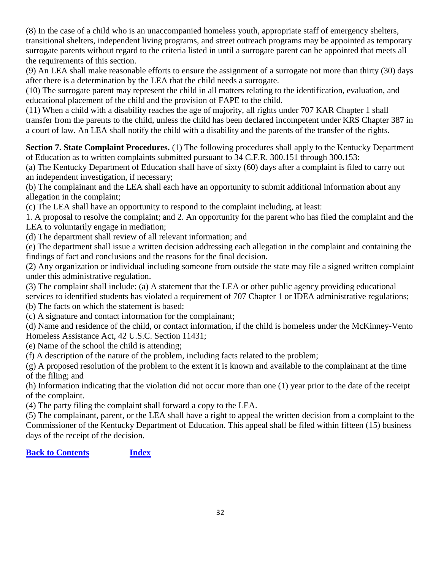(8) In the case of a child who is an unaccompanied homeless youth, appropriate staff of emergency shelters, transitional shelters, independent living programs, and street outreach programs may be appointed as temporary surrogate parents without regard to the criteria listed in until a surrogate parent can be appointed that meets all the requirements of this section.

(9) An LEA shall make reasonable efforts to ensure the assignment of a surrogate not more than thirty (30) days after there is a determination by the LEA that the child needs a surrogate.

(10) The surrogate parent may represent the child in all matters relating to the identification, evaluation, and educational placement of the child and the provision of FAPE to the child.

(11) When a child with a disability reaches the age of majority, all rights under 707 KAR Chapter 1 shall transfer from the parents to the child, unless the child has been declared incompetent under KRS Chapter 387 in a court of law. An LEA shall notify the child with a disability and the parents of the transfer of the rights.

**Section 7. State Complaint Procedures.** (1) The following procedures shall apply to the Kentucky Department of Education as to written complaints submitted pursuant to 34 C.F.R. 300.151 through 300.153:

(a) The Kentucky Department of Education shall have of sixty (60) days after a complaint is filed to carry out an independent investigation, if necessary;

(b) The complainant and the LEA shall each have an opportunity to submit additional information about any allegation in the complaint;

(c) The LEA shall have an opportunity to respond to the complaint including, at least:

1. A proposal to resolve the complaint; and 2. An opportunity for the parent who has filed the complaint and the LEA to voluntarily engage in mediation;

(d) The department shall review of all relevant information; and

(e) The department shall issue a written decision addressing each allegation in the complaint and containing the findings of fact and conclusions and the reasons for the final decision.

(2) Any organization or individual including someone from outside the state may file a signed written complaint under this administrative regulation.

(3) The complaint shall include: (a) A statement that the LEA or other public agency providing educational services to identified students has violated a requirement of 707 Chapter 1 or IDEA administrative regulations;

(b) The facts on which the statement is based;

(c) A signature and contact information for the complainant;

(d) Name and residence of the child, or contact information, if the child is homeless under the McKinney-Vento Homeless Assistance Act, 42 U.S.C. Section 11431;

(e) Name of the school the child is attending;

(f) A description of the nature of the problem, including facts related to the problem;

(g) A proposed resolution of the problem to the extent it is known and available to the complainant at the time of the filing; and

(h) Information indicating that the violation did not occur more than one (1) year prior to the date of the receipt of the complaint.

(4) The party filing the complaint shall forward a copy to the LEA.

(5) The complainant, parent, or the LEA shall have a right to appeal the written decision from a complaint to the Commissioner of the Kentucky Department of Education. This appeal shall be filed within fifteen (15) business days of the receipt of the decision.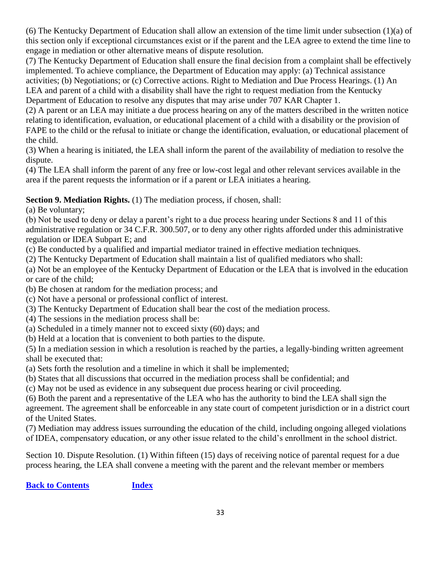(6) The Kentucky Department of Education shall allow an extension of the time limit under subsection (1)(a) of this section only if exceptional circumstances exist or if the parent and the LEA agree to extend the time line to engage in mediation or other alternative means of dispute resolution.

(7) The Kentucky Department of Education shall ensure the final decision from a complaint shall be effectively implemented. To achieve compliance, the Department of Education may apply: (a) Technical assistance activities; (b) Negotiations; or (c) Corrective actions. Right to Mediation and Due Process Hearings. (1) An LEA and parent of a child with a disability shall have the right to request mediation from the Kentucky Department of Education to resolve any disputes that may arise under 707 KAR Chapter 1.

(2) A parent or an LEA may initiate a due process hearing on any of the matters described in the written notice relating to identification, evaluation, or educational placement of a child with a disability or the provision of FAPE to the child or the refusal to initiate or change the identification, evaluation, or educational placement of the child.

(3) When a hearing is initiated, the LEA shall inform the parent of the availability of mediation to resolve the dispute.

(4) The LEA shall inform the parent of any free or low-cost legal and other relevant services available in the area if the parent requests the information or if a parent or LEA initiates a hearing.

**Section 9. Mediation Rights.** (1) The mediation process, if chosen, shall:

(a) Be voluntary;

(b) Not be used to deny or delay a parent's right to a due process hearing under Sections 8 and 11 of this administrative regulation or 34 C.F.R. 300.507, or to deny any other rights afforded under this administrative regulation or IDEA Subpart E; and

(c) Be conducted by a qualified and impartial mediator trained in effective mediation techniques.

(2) The Kentucky Department of Education shall maintain a list of qualified mediators who shall:

(a) Not be an employee of the Kentucky Department of Education or the LEA that is involved in the education or care of the child;

(b) Be chosen at random for the mediation process; and

(c) Not have a personal or professional conflict of interest.

(3) The Kentucky Department of Education shall bear the cost of the mediation process.

(4) The sessions in the mediation process shall be:

(a) Scheduled in a timely manner not to exceed sixty (60) days; and

(b) Held at a location that is convenient to both parties to the dispute.

(5) In a mediation session in which a resolution is reached by the parties, a legally-binding written agreement shall be executed that:

(a) Sets forth the resolution and a timeline in which it shall be implemented;

(b) States that all discussions that occurred in the mediation process shall be confidential; and

(c) May not be used as evidence in any subsequent due process hearing or civil proceeding.

(6) Both the parent and a representative of the LEA who has the authority to bind the LEA shall sign the agreement. The agreement shall be enforceable in any state court of competent jurisdiction or in a district court of the United States.

(7) Mediation may address issues surrounding the education of the child, including ongoing alleged violations of IDEA, compensatory education, or any other issue related to the child's enrollment in the school district.

Section 10. Dispute Resolution. (1) Within fifteen (15) days of receiving notice of parental request for a due process hearing, the LEA shall convene a meeting with the parent and the relevant member or members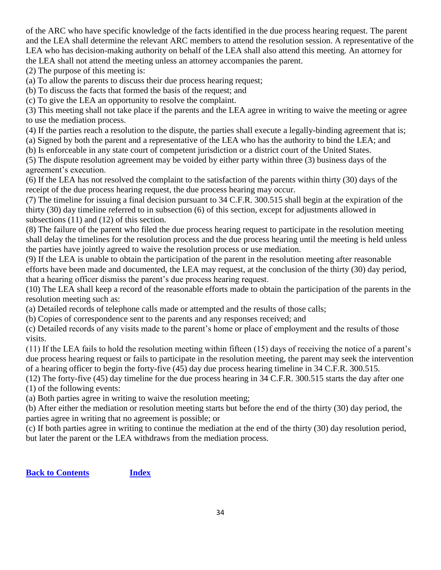of the ARC who have specific knowledge of the facts identified in the due process hearing request. The parent and the LEA shall determine the relevant ARC members to attend the resolution session. A representative of the LEA who has decision-making authority on behalf of the LEA shall also attend this meeting. An attorney for the LEA shall not attend the meeting unless an attorney accompanies the parent.

(2) The purpose of this meeting is:

(a) To allow the parents to discuss their due process hearing request;

(b) To discuss the facts that formed the basis of the request; and

(c) To give the LEA an opportunity to resolve the complaint.

(3) This meeting shall not take place if the parents and the LEA agree in writing to waive the meeting or agree to use the mediation process.

(4) If the parties reach a resolution to the dispute, the parties shall execute a legally-binding agreement that is;

(a) Signed by both the parent and a representative of the LEA who has the authority to bind the LEA; and

(b) Is enforceable in any state court of competent jurisdiction or a district court of the United States.

(5) The dispute resolution agreement may be voided by either party within three (3) business days of the agreement's execution.

(6) If the LEA has not resolved the complaint to the satisfaction of the parents within thirty (30) days of the receipt of the due process hearing request, the due process hearing may occur.

(7) The timeline for issuing a final decision pursuant to 34 C.F.R. 300.515 shall begin at the expiration of the thirty (30) day timeline referred to in subsection (6) of this section, except for adjustments allowed in subsections (11) and (12) of this section.

(8) The failure of the parent who filed the due process hearing request to participate in the resolution meeting shall delay the timelines for the resolution process and the due process hearing until the meeting is held unless the parties have jointly agreed to waive the resolution process or use mediation.

(9) If the LEA is unable to obtain the participation of the parent in the resolution meeting after reasonable efforts have been made and documented, the LEA may request, at the conclusion of the thirty (30) day period, that a hearing officer dismiss the parent's due process hearing request.

(10) The LEA shall keep a record of the reasonable efforts made to obtain the participation of the parents in the resolution meeting such as:

(a) Detailed records of telephone calls made or attempted and the results of those calls;

(b) Copies of correspondence sent to the parents and any responses received; and

(c) Detailed records of any visits made to the parent's home or place of employment and the results of those visits.

(11) If the LEA fails to hold the resolution meeting within fifteen (15) days of receiving the notice of a parent's due process hearing request or fails to participate in the resolution meeting, the parent may seek the intervention of a hearing officer to begin the forty-five (45) day due process hearing timeline in 34 C.F.R. 300.515.

(12) The forty-five (45) day timeline for the due process hearing in 34 C.F.R. 300.515 starts the day after one (1) of the following events:

(a) Both parties agree in writing to waive the resolution meeting;

(b) After either the mediation or resolution meeting starts but before the end of the thirty (30) day period, the parties agree in writing that no agreement is possible; or

(c) If both parties agree in writing to continue the mediation at the end of the thirty (30) day resolution period, but later the parent or the LEA withdraws from the mediation process.

**[Back to Contents](#page-1-0) [Index](#page-52-0)**

34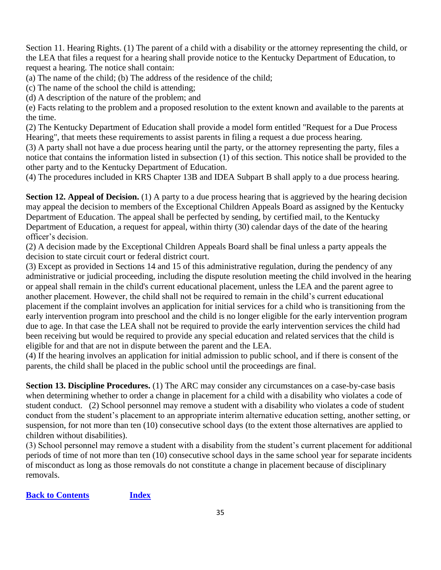Section 11. Hearing Rights. (1) The parent of a child with a disability or the attorney representing the child, or the LEA that files a request for a hearing shall provide notice to the Kentucky Department of Education, to request a hearing. The notice shall contain:

(a) The name of the child; (b) The address of the residence of the child;

(c) The name of the school the child is attending;

(d) A description of the nature of the problem; and

(e) Facts relating to the problem and a proposed resolution to the extent known and available to the parents at the time.

(2) The Kentucky Department of Education shall provide a model form entitled "Request for a Due Process Hearing", that meets these requirements to assist parents in filing a request a due process hearing.

(3) A party shall not have a due process hearing until the party, or the attorney representing the party, files a notice that contains the information listed in subsection (1) of this section. This notice shall be provided to the other party and to the Kentucky Department of Education.

(4) The procedures included in KRS Chapter 13B and IDEA Subpart B shall apply to a due process hearing.

**Section 12. Appeal of Decision.** (1) A party to a due process hearing that is aggrieved by the hearing decision may appeal the decision to members of the Exceptional Children Appeals Board as assigned by the Kentucky Department of Education. The appeal shall be perfected by sending, by certified mail, to the Kentucky Department of Education, a request for appeal, within thirty (30) calendar days of the date of the hearing officer's decision.

(2) A decision made by the Exceptional Children Appeals Board shall be final unless a party appeals the decision to state circuit court or federal district court.

(3) Except as provided in Sections 14 and 15 of this administrative regulation, during the pendency of any administrative or judicial proceeding, including the dispute resolution meeting the child involved in the hearing or appeal shall remain in the child's current educational placement, unless the LEA and the parent agree to another placement. However, the child shall not be required to remain in the child's current educational placement if the complaint involves an application for initial services for a child who is transitioning from the early intervention program into preschool and the child is no longer eligible for the early intervention program due to age. In that case the LEA shall not be required to provide the early intervention services the child had been receiving but would be required to provide any special education and related services that the child is eligible for and that are not in dispute between the parent and the LEA.

(4) If the hearing involves an application for initial admission to public school, and if there is consent of the parents, the child shall be placed in the public school until the proceedings are final.

**Section 13. Discipline Procedures.** (1) The ARC may consider any circumstances on a case-by-case basis when determining whether to order a change in placement for a child with a disability who violates a code of student conduct. (2) School personnel may remove a student with a disability who violates a code of student conduct from the student's placement to an appropriate interim alternative education setting, another setting, or suspension, for not more than ten (10) consecutive school days (to the extent those alternatives are applied to children without disabilities).

(3) School personnel may remove a student with a disability from the student's current placement for additional periods of time of not more than ten (10) consecutive school days in the same school year for separate incidents of misconduct as long as those removals do not constitute a change in placement because of disciplinary removals.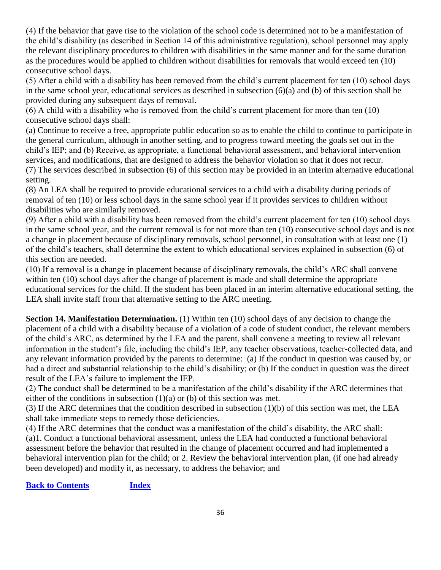(4) If the behavior that gave rise to the violation of the school code is determined not to be a manifestation of the child's disability (as described in Section 14 of this administrative regulation), school personnel may apply the relevant disciplinary procedures to children with disabilities in the same manner and for the same duration as the procedures would be applied to children without disabilities for removals that would exceed ten (10) consecutive school days.

(5) After a child with a disability has been removed from the child's current placement for ten (10) school days in the same school year, educational services as described in subsection (6)(a) and (b) of this section shall be provided during any subsequent days of removal.

(6) A child with a disability who is removed from the child's current placement for more than ten (10) consecutive school days shall:

(a) Continue to receive a free, appropriate public education so as to enable the child to continue to participate in the general curriculum, although in another setting, and to progress toward meeting the goals set out in the child's IEP; and (b) Receive, as appropriate, a functional behavioral assessment, and behavioral intervention services, and modifications, that are designed to address the behavior violation so that it does not recur.

(7) The services described in subsection (6) of this section may be provided in an interim alternative educational setting.

(8) An LEA shall be required to provide educational services to a child with a disability during periods of removal of ten (10) or less school days in the same school year if it provides services to children without disabilities who are similarly removed.

(9) After a child with a disability has been removed from the child's current placement for ten (10) school days in the same school year, and the current removal is for not more than ten (10) consecutive school days and is not a change in placement because of disciplinary removals, school personnel, in consultation with at least one (1) of the child's teachers, shall determine the extent to which educational services explained in subsection (6) of this section are needed.

(10) If a removal is a change in placement because of disciplinary removals, the child's ARC shall convene within ten (10) school days after the change of placement is made and shall determine the appropriate educational services for the child. If the student has been placed in an interim alternative educational setting, the LEA shall invite staff from that alternative setting to the ARC meeting.

**Section 14. Manifestation Determination.** (1) Within ten (10) school days of any decision to change the placement of a child with a disability because of a violation of a code of student conduct, the relevant members of the child's ARC, as determined by the LEA and the parent, shall convene a meeting to review all relevant information in the student's file, including the child's IEP, any teacher observations, teacher-collected data, and any relevant information provided by the parents to determine: (a) If the conduct in question was caused by, or had a direct and substantial relationship to the child's disability; or (b) If the conduct in question was the direct result of the LEA's failure to implement the IEP.

(2) The conduct shall be determined to be a manifestation of the child's disability if the ARC determines that either of the conditions in subsection  $(1)(a)$  or  $(b)$  of this section was met.

(3) If the ARC determines that the condition described in subsection (1)(b) of this section was met, the LEA shall take immediate steps to remedy those deficiencies.

(4) If the ARC determines that the conduct was a manifestation of the child's disability, the ARC shall: (a)1. Conduct a functional behavioral assessment, unless the LEA had conducted a functional behavioral assessment before the behavior that resulted in the change of placement occurred and had implemented a behavioral intervention plan for the child; or 2. Review the behavioral intervention plan, (if one had already been developed) and modify it, as necessary, to address the behavior; and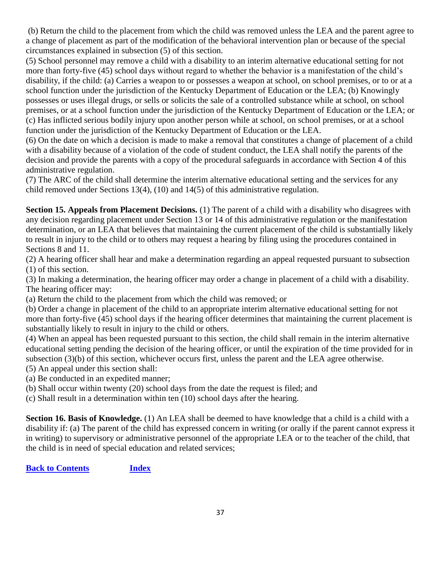(b) Return the child to the placement from which the child was removed unless the LEA and the parent agree to a change of placement as part of the modification of the behavioral intervention plan or because of the special circumstances explained in subsection (5) of this section.

(5) School personnel may remove a child with a disability to an interim alternative educational setting for not more than forty-five (45) school days without regard to whether the behavior is a manifestation of the child's disability, if the child: (a) Carries a weapon to or possesses a weapon at school, on school premises, or to or at a school function under the jurisdiction of the Kentucky Department of Education or the LEA; (b) Knowingly possesses or uses illegal drugs, or sells or solicits the sale of a controlled substance while at school, on school premises, or at a school function under the jurisdiction of the Kentucky Department of Education or the LEA; or (c) Has inflicted serious bodily injury upon another person while at school, on school premises, or at a school function under the jurisdiction of the Kentucky Department of Education or the LEA.

(6) On the date on which a decision is made to make a removal that constitutes a change of placement of a child with a disability because of a violation of the code of student conduct, the LEA shall notify the parents of the decision and provide the parents with a copy of the procedural safeguards in accordance with Section 4 of this administrative regulation.

(7) The ARC of the child shall determine the interim alternative educational setting and the services for any child removed under Sections 13(4), (10) and 14(5) of this administrative regulation.

**Section 15. Appeals from Placement Decisions.** (1) The parent of a child with a disability who disagrees with any decision regarding placement under Section 13 or 14 of this administrative regulation or the manifestation determination, or an LEA that believes that maintaining the current placement of the child is substantially likely to result in injury to the child or to others may request a hearing by filing using the procedures contained in Sections 8 and 11.

(2) A hearing officer shall hear and make a determination regarding an appeal requested pursuant to subsection (1) of this section.

(3) In making a determination, the hearing officer may order a change in placement of a child with a disability. The hearing officer may:

(a) Return the child to the placement from which the child was removed; or

(b) Order a change in placement of the child to an appropriate interim alternative educational setting for not more than forty-five (45) school days if the hearing officer determines that maintaining the current placement is substantially likely to result in injury to the child or others.

(4) When an appeal has been requested pursuant to this section, the child shall remain in the interim alternative educational setting pending the decision of the hearing officer, or until the expiration of the time provided for in subsection (3)(b) of this section, whichever occurs first, unless the parent and the LEA agree otherwise.

(5) An appeal under this section shall:

(a) Be conducted in an expedited manner;

(b) Shall occur within twenty (20) school days from the date the request is filed; and

(c) Shall result in a determination within ten (10) school days after the hearing.

**Section 16. Basis of Knowledge.** (1) An LEA shall be deemed to have knowledge that a child is a child with a disability if: (a) The parent of the child has expressed concern in writing (or orally if the parent cannot express it in writing) to supervisory or administrative personnel of the appropriate LEA or to the teacher of the child, that the child is in need of special education and related services;

**[Back to Contents](#page-1-0) [Index](#page-52-0)**

37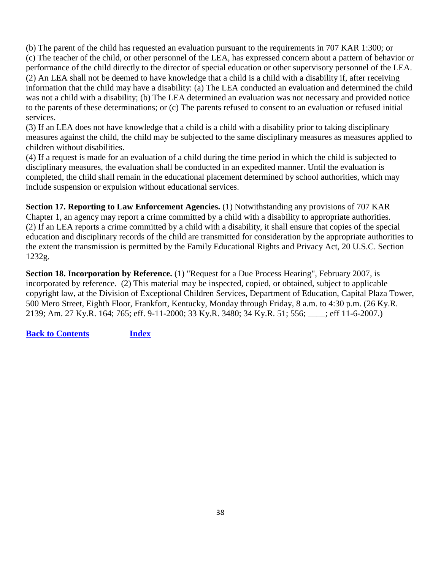(b) The parent of the child has requested an evaluation pursuant to the requirements in 707 KAR 1:300; or (c) The teacher of the child, or other personnel of the LEA, has expressed concern about a pattern of behavior or performance of the child directly to the director of special education or other supervisory personnel of the LEA. (2) An LEA shall not be deemed to have knowledge that a child is a child with a disability if, after receiving information that the child may have a disability: (a) The LEA conducted an evaluation and determined the child was not a child with a disability; (b) The LEA determined an evaluation was not necessary and provided notice to the parents of these determinations; or (c) The parents refused to consent to an evaluation or refused initial services.

(3) If an LEA does not have knowledge that a child is a child with a disability prior to taking disciplinary measures against the child, the child may be subjected to the same disciplinary measures as measures applied to children without disabilities.

(4) If a request is made for an evaluation of a child during the time period in which the child is subjected to disciplinary measures, the evaluation shall be conducted in an expedited manner. Until the evaluation is completed, the child shall remain in the educational placement determined by school authorities, which may include suspension or expulsion without educational services.

**Section 17. Reporting to Law Enforcement Agencies.** (1) Notwithstanding any provisions of 707 KAR Chapter 1, an agency may report a crime committed by a child with a disability to appropriate authorities. (2) If an LEA reports a crime committed by a child with a disability, it shall ensure that copies of the special education and disciplinary records of the child are transmitted for consideration by the appropriate authorities to the extent the transmission is permitted by the Family Educational Rights and Privacy Act, 20 U.S.C. Section 1232g.

**Section 18. Incorporation by Reference.** (1) "Request for a Due Process Hearing", February 2007, is incorporated by reference. (2) This material may be inspected, copied, or obtained, subject to applicable copyright law, at the Division of Exceptional Children Services, Department of Education, Capital Plaza Tower, 500 Mero Street, Eighth Floor, Frankfort, Kentucky, Monday through Friday, 8 a.m. to 4:30 p.m. (26 Ky.R. 2139; Am. 27 Ky.R. 164; 765; eff. 9-11-2000; 33 Ky.R. 3480; 34 Ky.R. 51; 556; \_\_\_\_; eff 11-6-2007.)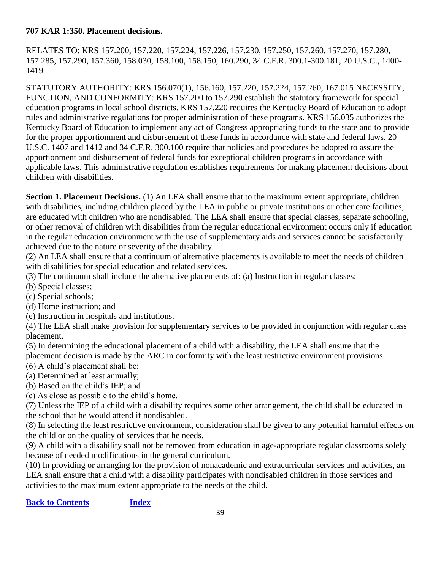### <span id="page-39-0"></span>**707 KAR 1:350. Placement decisions.**

RELATES TO: KRS 157.200, 157.220, 157.224, 157.226, 157.230, 157.250, 157.260, 157.270, 157.280, 157.285, 157.290, 157.360, 158.030, 158.100, 158.150, 160.290, 34 C.F.R. 300.1-300.181, 20 U.S.C., 1400- 1419

STATUTORY AUTHORITY: KRS 156.070(1), 156.160, 157.220, 157.224, 157.260, 167.015 NECESSITY, FUNCTION, AND CONFORMITY: KRS 157.200 to 157.290 establish the statutory framework for special education programs in local school districts. KRS 157.220 requires the Kentucky Board of Education to adopt rules and administrative regulations for proper administration of these programs. KRS 156.035 authorizes the Kentucky Board of Education to implement any act of Congress appropriating funds to the state and to provide for the proper apportionment and disbursement of these funds in accordance with state and federal laws. 20 U.S.C. 1407 and 1412 and 34 C.F.R. 300.100 require that policies and procedures be adopted to assure the apportionment and disbursement of federal funds for exceptional children programs in accordance with applicable laws. This administrative regulation establishes requirements for making placement decisions about children with disabilities.

**Section 1. Placement Decisions.** (1) An LEA shall ensure that to the maximum extent appropriate, children with disabilities, including children placed by the LEA in public or private institutions or other care facilities, are educated with children who are nondisabled. The LEA shall ensure that special classes, separate schooling, or other removal of children with disabilities from the regular educational environment occurs only if education in the regular education environment with the use of supplementary aids and services cannot be satisfactorily achieved due to the nature or severity of the disability.

(2) An LEA shall ensure that a continuum of alternative placements is available to meet the needs of children with disabilities for special education and related services.

- (3) The continuum shall include the alternative placements of: (a) Instruction in regular classes;
- (b) Special classes;
- (c) Special schools;
- (d) Home instruction; and
- (e) Instruction in hospitals and institutions.

(4) The LEA shall make provision for supplementary services to be provided in conjunction with regular class placement.

- (5) In determining the educational placement of a child with a disability, the LEA shall ensure that the placement decision is made by the ARC in conformity with the least restrictive environment provisions.
- (6) A child's placement shall be:
- (a) Determined at least annually;
- (b) Based on the child's IEP; and
- (c) As close as possible to the child's home.

(7) Unless the IEP of a child with a disability requires some other arrangement, the child shall be educated in the school that he would attend if nondisabled.

(8) In selecting the least restrictive environment, consideration shall be given to any potential harmful effects on the child or on the quality of services that he needs.

(9) A child with a disability shall not be removed from education in age-appropriate regular classrooms solely because of needed modifications in the general curriculum.

(10) In providing or arranging for the provision of nonacademic and extracurricular services and activities, an LEA shall ensure that a child with a disability participates with nondisabled children in those services and activities to the maximum extent appropriate to the needs of the child.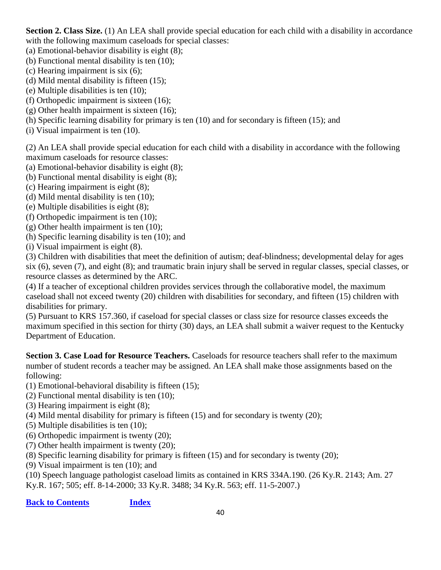**Section 2. Class Size.** (1) An LEA shall provide special education for each child with a disability in accordance with the following maximum caseloads for special classes:

- (a) Emotional-behavior disability is eight (8);
- (b) Functional mental disability is ten (10);
- (c) Hearing impairment is six (6);
- (d) Mild mental disability is fifteen (15);
- (e) Multiple disabilities is ten (10);
- (f) Orthopedic impairment is sixteen (16);
- (g) Other health impairment is sixteen (16);
- (h) Specific learning disability for primary is ten (10) and for secondary is fifteen (15); and
- (i) Visual impairment is ten (10).

(2) An LEA shall provide special education for each child with a disability in accordance with the following maximum caseloads for resource classes:

- (a) Emotional-behavior disability is eight (8);
- (b) Functional mental disability is eight (8);
- (c) Hearing impairment is eight (8);
- (d) Mild mental disability is ten (10);
- (e) Multiple disabilities is eight (8);
- (f) Orthopedic impairment is ten (10);
- (g) Other health impairment is ten (10);
- (h) Specific learning disability is ten (10); and
- (i) Visual impairment is eight (8).

(3) Children with disabilities that meet the definition of autism; deaf-blindness; developmental delay for ages six (6), seven (7), and eight (8); and traumatic brain injury shall be served in regular classes, special classes, or resource classes as determined by the ARC.

(4) If a teacher of exceptional children provides services through the collaborative model, the maximum caseload shall not exceed twenty (20) children with disabilities for secondary, and fifteen (15) children with disabilities for primary.

(5) Pursuant to KRS 157.360, if caseload for special classes or class size for resource classes exceeds the maximum specified in this section for thirty (30) days, an LEA shall submit a waiver request to the Kentucky Department of Education.

**Section 3. Case Load for Resource Teachers.** Caseloads for resource teachers shall refer to the maximum number of student records a teacher may be assigned. An LEA shall make those assignments based on the following:

- (1) Emotional-behavioral disability is fifteen (15);
- (2) Functional mental disability is ten (10);
- (3) Hearing impairment is eight (8);
- (4) Mild mental disability for primary is fifteen (15) and for secondary is twenty (20);
- (5) Multiple disabilities is ten (10);
- (6) Orthopedic impairment is twenty (20);
- (7) Other health impairment is twenty (20);
- (8) Specific learning disability for primary is fifteen (15) and for secondary is twenty (20);
- (9) Visual impairment is ten (10); and

(10) Speech language pathologist caseload limits as contained in KRS 334A.190. (26 Ky.R. 2143; Am. 27 Ky.R. 167; 505; eff. 8-14-2000; 33 Ky.R. 3488; 34 Ky.R. 563; eff. 11-5-2007.)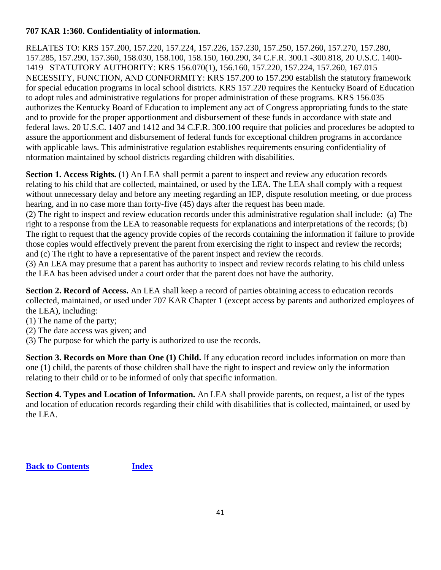# <span id="page-41-0"></span>**707 KAR 1:360. Confidentiality of information.**

RELATES TO: KRS 157.200, 157.220, 157.224, 157.226, 157.230, 157.250, 157.260, 157.270, 157.280, 157.285, 157.290, 157.360, 158.030, 158.100, 158.150, 160.290, 34 C.F.R. 300.1 -300.818, 20 U.S.C. 1400- 1419 STATUTORY AUTHORITY: KRS 156.070(1), 156.160, 157.220, 157.224, 157.260, 167.015 NECESSITY, FUNCTION, AND CONFORMITY: KRS 157.200 to 157.290 establish the statutory framework for special education programs in local school districts. KRS 157.220 requires the Kentucky Board of Education to adopt rules and administrative regulations for proper administration of these programs. KRS 156.035 authorizes the Kentucky Board of Education to implement any act of Congress appropriating funds to the state and to provide for the proper apportionment and disbursement of these funds in accordance with state and federal laws. 20 U.S.C. 1407 and 1412 and 34 C.F.R. 300.100 require that policies and procedures be adopted to assure the apportionment and disbursement of federal funds for exceptional children programs in accordance with applicable laws. This administrative regulation establishes requirements ensuring confidentiality of nformation maintained by school districts regarding children with disabilities.

**Section 1. Access Rights.** (1) An LEA shall permit a parent to inspect and review any education records relating to his child that are collected, maintained, or used by the LEA. The LEA shall comply with a request without unnecessary delay and before any meeting regarding an IEP, dispute resolution meeting, or due process hearing, and in no case more than forty-five (45) days after the request has been made.

(2) The right to inspect and review education records under this administrative regulation shall include: (a) The right to a response from the LEA to reasonable requests for explanations and interpretations of the records; (b) The right to request that the agency provide copies of the records containing the information if failure to provide those copies would effectively prevent the parent from exercising the right to inspect and review the records; and (c) The right to have a representative of the parent inspect and review the records.

(3) An LEA may presume that a parent has authority to inspect and review records relating to his child unless the LEA has been advised under a court order that the parent does not have the authority.

**Section 2. Record of Access.** An LEA shall keep a record of parties obtaining access to education records collected, maintained, or used under 707 KAR Chapter 1 (except access by parents and authorized employees of the LEA), including:

- (1) The name of the party;
- (2) The date access was given; and
- (3) The purpose for which the party is authorized to use the records.

**Section 3. Records on More than One (1) Child.** If any education record includes information on more than one (1) child, the parents of those children shall have the right to inspect and review only the information relating to their child or to be informed of only that specific information.

**Section 4. Types and Location of Information.** An LEA shall provide parents, on request, a list of the types and location of education records regarding their child with disabilities that is collected, maintained, or used by the LEA.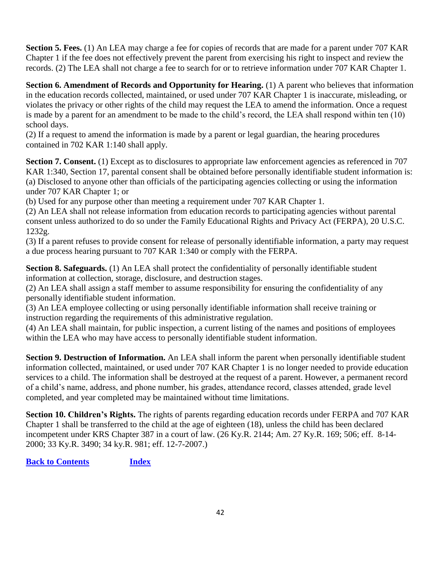**Section 5. Fees.** (1) An LEA may charge a fee for copies of records that are made for a parent under 707 KAR Chapter 1 if the fee does not effectively prevent the parent from exercising his right to inspect and review the records. (2) The LEA shall not charge a fee to search for or to retrieve information under 707 KAR Chapter 1.

**Section 6. Amendment of Records and Opportunity for Hearing.** (1) A parent who believes that information in the education records collected, maintained, or used under 707 KAR Chapter 1 is inaccurate, misleading, or violates the privacy or other rights of the child may request the LEA to amend the information. Once a request is made by a parent for an amendment to be made to the child's record, the LEA shall respond within ten (10) school days.

(2) If a request to amend the information is made by a parent or legal guardian, the hearing procedures contained in 702 KAR 1:140 shall apply.

**Section 7. Consent.** (1) Except as to disclosures to appropriate law enforcement agencies as referenced in 707 KAR 1:340, Section 17, parental consent shall be obtained before personally identifiable student information is: (a) Disclosed to anyone other than officials of the participating agencies collecting or using the information under 707 KAR Chapter 1; or

(b) Used for any purpose other than meeting a requirement under 707 KAR Chapter 1.

(2) An LEA shall not release information from education records to participating agencies without parental consent unless authorized to do so under the Family Educational Rights and Privacy Act (FERPA), 20 U.S.C. 1232g.

(3) If a parent refuses to provide consent for release of personally identifiable information, a party may request a due process hearing pursuant to 707 KAR 1:340 or comply with the FERPA.

**Section 8. Safeguards.** (1) An LEA shall protect the confidentiality of personally identifiable student information at collection, storage, disclosure, and destruction stages.

(2) An LEA shall assign a staff member to assume responsibility for ensuring the confidentiality of any personally identifiable student information.

(3) An LEA employee collecting or using personally identifiable information shall receive training or instruction regarding the requirements of this administrative regulation.

(4) An LEA shall maintain, for public inspection, a current listing of the names and positions of employees within the LEA who may have access to personally identifiable student information.

**Section 9. Destruction of Information.** An LEA shall inform the parent when personally identifiable student information collected, maintained, or used under 707 KAR Chapter 1 is no longer needed to provide education services to a child. The information shall be destroyed at the request of a parent. However, a permanent record of a child's name, address, and phone number, his grades, attendance record, classes attended, grade level completed, and year completed may be maintained without time limitations.

**Section 10. Children's Rights.** The rights of parents regarding education records under FERPA and 707 KAR Chapter 1 shall be transferred to the child at the age of eighteen (18), unless the child has been declared incompetent under KRS Chapter 387 in a court of law. (26 Ky.R. 2144; Am. 27 Ky.R. 169; 506; eff. 8-14- 2000; 33 Ky.R. 3490; 34 ky.R. 981; eff. 12-7-2007.)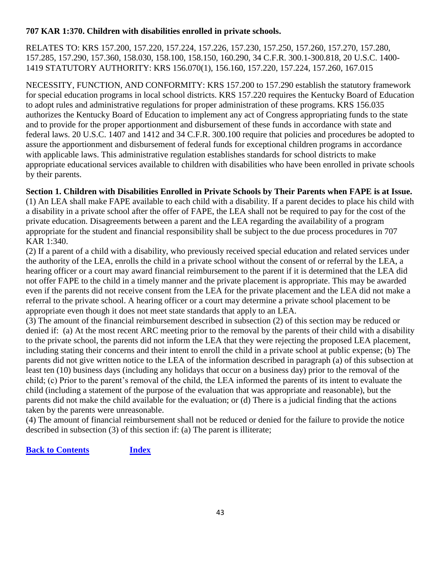### <span id="page-43-0"></span>**707 KAR 1:370. Children with disabilities enrolled in private schools.**

RELATES TO: KRS 157.200, 157.220, 157.224, 157.226, 157.230, 157.250, 157.260, 157.270, 157.280, 157.285, 157.290, 157.360, 158.030, 158.100, 158.150, 160.290, 34 C.F.R. 300.1-300.818, 20 U.S.C. 1400- 1419 STATUTORY AUTHORITY: KRS 156.070(1), 156.160, 157.220, 157.224, 157.260, 167.015

NECESSITY, FUNCTION, AND CONFORMITY: KRS 157.200 to 157.290 establish the statutory framework for special education programs in local school districts. KRS 157.220 requires the Kentucky Board of Education to adopt rules and administrative regulations for proper administration of these programs. KRS 156.035 authorizes the Kentucky Board of Education to implement any act of Congress appropriating funds to the state and to provide for the proper apportionment and disbursement of these funds in accordance with state and federal laws. 20 U.S.C. 1407 and 1412 and 34 C.F.R. 300.100 require that policies and procedures be adopted to assure the apportionment and disbursement of federal funds for exceptional children programs in accordance with applicable laws. This administrative regulation establishes standards for school districts to make appropriate educational services available to children with disabilities who have been enrolled in private schools by their parents.

# **Section 1. Children with Disabilities Enrolled in Private Schools by Their Parents when FAPE is at Issue.**

(1) An LEA shall make FAPE available to each child with a disability. If a parent decides to place his child with a disability in a private school after the offer of FAPE, the LEA shall not be required to pay for the cost of the private education. Disagreements between a parent and the LEA regarding the availability of a program appropriate for the student and financial responsibility shall be subject to the due process procedures in 707 KAR 1:340.

(2) If a parent of a child with a disability, who previously received special education and related services under the authority of the LEA, enrolls the child in a private school without the consent of or referral by the LEA, a hearing officer or a court may award financial reimbursement to the parent if it is determined that the LEA did not offer FAPE to the child in a timely manner and the private placement is appropriate. This may be awarded even if the parents did not receive consent from the LEA for the private placement and the LEA did not make a referral to the private school. A hearing officer or a court may determine a private school placement to be appropriate even though it does not meet state standards that apply to an LEA.

(3) The amount of the financial reimbursement described in subsection (2) of this section may be reduced or denied if: (a) At the most recent ARC meeting prior to the removal by the parents of their child with a disability to the private school, the parents did not inform the LEA that they were rejecting the proposed LEA placement, including stating their concerns and their intent to enroll the child in a private school at public expense; (b) The parents did not give written notice to the LEA of the information described in paragraph (a) of this subsection at least ten (10) business days (including any holidays that occur on a business day) prior to the removal of the child; (c) Prior to the parent's removal of the child, the LEA informed the parents of its intent to evaluate the child (including a statement of the purpose of the evaluation that was appropriate and reasonable), but the parents did not make the child available for the evaluation; or (d) There is a judicial finding that the actions taken by the parents were unreasonable.

(4) The amount of financial reimbursement shall not be reduced or denied for the failure to provide the notice described in subsection (3) of this section if: (a) The parent is illiterate;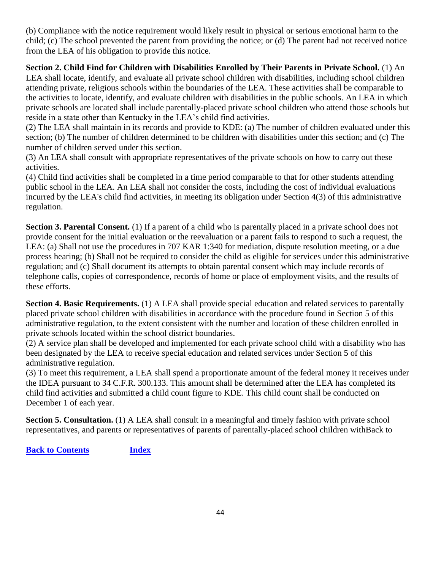(b) Compliance with the notice requirement would likely result in physical or serious emotional harm to the child; (c) The school prevented the parent from providing the notice; or (d) The parent had not received notice from the LEA of his obligation to provide this notice.

**Section 2. Child Find for Children with Disabilities Enrolled by Their Parents in Private School.** (1) An LEA shall locate, identify, and evaluate all private school children with disabilities, including school children attending private, religious schools within the boundaries of the LEA. These activities shall be comparable to the activities to locate, identify, and evaluate children with disabilities in the public schools. An LEA in which private schools are located shall include parentally-placed private school children who attend those schools but reside in a state other than Kentucky in the LEA's child find activities.

(2) The LEA shall maintain in its records and provide to KDE: (a) The number of children evaluated under this section; (b) The number of children determined to be children with disabilities under this section; and (c) The number of children served under this section.

(3) An LEA shall consult with appropriate representatives of the private schools on how to carry out these activities.

(4) Child find activities shall be completed in a time period comparable to that for other students attending public school in the LEA. An LEA shall not consider the costs, including the cost of individual evaluations incurred by the LEA's child find activities, in meeting its obligation under Section 4(3) of this administrative regulation.

**Section 3. Parental Consent.** (1) If a parent of a child who is parentally placed in a private school does not provide consent for the initial evaluation or the reevaluation or a parent fails to respond to such a request, the LEA: (a) Shall not use the procedures in 707 KAR 1:340 for mediation, dispute resolution meeting, or a due process hearing; (b) Shall not be required to consider the child as eligible for services under this administrative regulation; and (c) Shall document its attempts to obtain parental consent which may include records of telephone calls, copies of correspondence, records of home or place of employment visits, and the results of these efforts.

**Section 4. Basic Requirements.** (1) A LEA shall provide special education and related services to parentally placed private school children with disabilities in accordance with the procedure found in Section 5 of this administrative regulation, to the extent consistent with the number and location of these children enrolled in private schools located within the school district boundaries.

(2) A service plan shall be developed and implemented for each private school child with a disability who has been designated by the LEA to receive special education and related services under Section 5 of this administrative regulation.

(3) To meet this requirement, a LEA shall spend a proportionate amount of the federal money it receives under the IDEA pursuant to 34 C.F.R. 300.133. This amount shall be determined after the LEA has completed its child find activities and submitted a child count figure to KDE. This child count shall be conducted on December 1 of each year.

**Section 5. Consultation.** (1) A LEA shall consult in a meaningful and timely fashion with private school representatives, and parents or representatives of parents of parentally-placed school children withBack to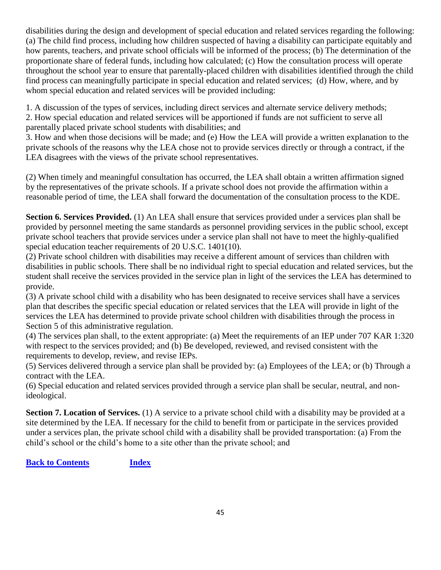disabilities during the design and development of special education and related services regarding the following: (a) The child find process, including how children suspected of having a disability can participate equitably and how parents, teachers, and private school officials will be informed of the process; (b) The determination of the proportionate share of federal funds, including how calculated; (c) How the consultation process will operate throughout the school year to ensure that parentally-placed children with disabilities identified through the child find process can meaningfully participate in special education and related services; (d) How, where, and by whom special education and related services will be provided including:

1. A discussion of the types of services, including direct services and alternate service delivery methods; 2. How special education and related services will be apportioned if funds are not sufficient to serve all parentally placed private school students with disabilities; and

3. How and when those decisions will be made; and (e) How the LEA will provide a written explanation to the private schools of the reasons why the LEA chose not to provide services directly or through a contract, if the LEA disagrees with the views of the private school representatives.

(2) When timely and meaningful consultation has occurred, the LEA shall obtain a written affirmation signed by the representatives of the private schools. If a private school does not provide the affirmation within a reasonable period of time, the LEA shall forward the documentation of the consultation process to the KDE.

**Section 6. Services Provided.** (1) An LEA shall ensure that services provided under a services plan shall be provided by personnel meeting the same standards as personnel providing services in the public school, except private school teachers that provide services under a service plan shall not have to meet the highly-qualified special education teacher requirements of 20 U.S.C. 1401(10).

(2) Private school children with disabilities may receive a different amount of services than children with disabilities in public schools. There shall be no individual right to special education and related services, but the student shall receive the services provided in the service plan in light of the services the LEA has determined to provide.

(3) A private school child with a disability who has been designated to receive services shall have a services plan that describes the specific special education or related services that the LEA will provide in light of the services the LEA has determined to provide private school children with disabilities through the process in Section 5 of this administrative regulation.

(4) The services plan shall, to the extent appropriate: (a) Meet the requirements of an IEP under 707 KAR 1:320 with respect to the services provided; and (b) Be developed, reviewed, and revised consistent with the requirements to develop, review, and revise IEPs.

(5) Services delivered through a service plan shall be provided by: (a) Employees of the LEA; or (b) Through a contract with the LEA.

(6) Special education and related services provided through a service plan shall be secular, neutral, and nonideological.

**Section 7. Location of Services.** (1) A service to a private school child with a disability may be provided at a site determined by the LEA. If necessary for the child to benefit from or participate in the services provided under a services plan, the private school child with a disability shall be provided transportation: (a) From the child's school or the child's home to a site other than the private school; and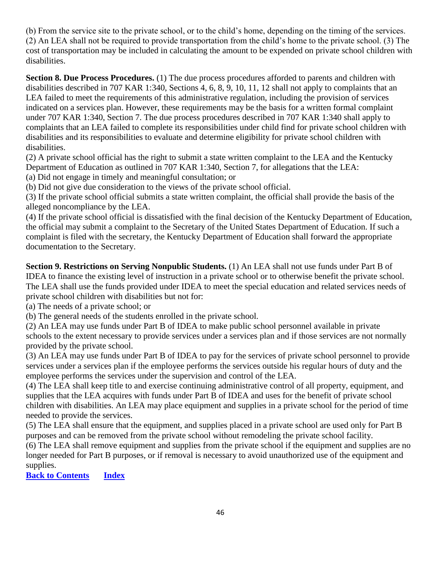(b) From the service site to the private school, or to the child's home, depending on the timing of the services. (2) An LEA shall not be required to provide transportation from the child's home to the private school. (3) The cost of transportation may be included in calculating the amount to be expended on private school children with disabilities.

**Section 8. Due Process Procedures.** (1) The due process procedures afforded to parents and children with disabilities described in 707 KAR 1:340, Sections 4, 6, 8, 9, 10, 11, 12 shall not apply to complaints that an LEA failed to meet the requirements of this administrative regulation, including the provision of services indicated on a services plan. However, these requirements may be the basis for a written formal complaint under 707 KAR 1:340, Section 7. The due process procedures described in 707 KAR 1:340 shall apply to complaints that an LEA failed to complete its responsibilities under child find for private school children with disabilities and its responsibilities to evaluate and determine eligibility for private school children with disabilities.

(2) A private school official has the right to submit a state written complaint to the LEA and the Kentucky Department of Education as outlined in 707 KAR 1:340, Section 7, for allegations that the LEA:

(a) Did not engage in timely and meaningful consultation; or (b) Did not give due consideration to the views of the private school official.

(3) If the private school official submits a state written complaint, the official shall provide the basis of the alleged noncompliance by the LEA.

(4) If the private school official is dissatisfied with the final decision of the Kentucky Department of Education, the official may submit a complaint to the Secretary of the United States Department of Education. If such a complaint is filed with the secretary, the Kentucky Department of Education shall forward the appropriate documentation to the Secretary.

**Section 9. Restrictions on Serving Nonpublic Students.** (1) An LEA shall not use funds under Part B of IDEA to finance the existing level of instruction in a private school or to otherwise benefit the private school. The LEA shall use the funds provided under IDEA to meet the special education and related services needs of private school children with disabilities but not for:

(a) The needs of a private school; or

(b) The general needs of the students enrolled in the private school.

(2) An LEA may use funds under Part B of IDEA to make public school personnel available in private schools to the extent necessary to provide services under a services plan and if those services are not normally provided by the private school.

(3) An LEA may use funds under Part B of IDEA to pay for the services of private school personnel to provide services under a services plan if the employee performs the services outside his regular hours of duty and the employee performs the services under the supervision and control of the LEA.

(4) The LEA shall keep title to and exercise continuing administrative control of all property, equipment, and supplies that the LEA acquires with funds under Part B of IDEA and uses for the benefit of private school children with disabilities. An LEA may place equipment and supplies in a private school for the period of time needed to provide the services.

(5) The LEA shall ensure that the equipment, and supplies placed in a private school are used only for Part B purposes and can be removed from the private school without remodeling the private school facility.

(6) The LEA shall remove equipment and supplies from the private school if the equipment and supplies are no longer needed for Part B purposes, or if removal is necessary to avoid unauthorized use of the equipment and supplies.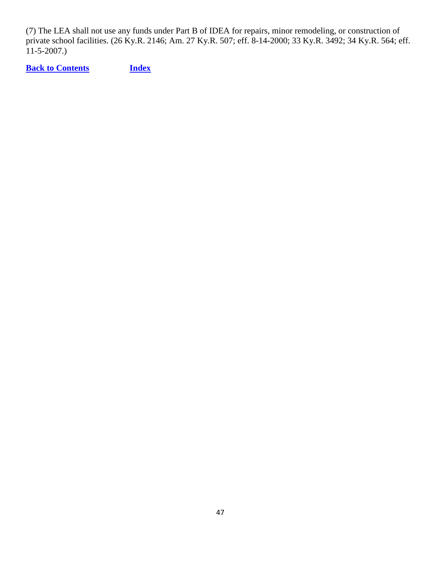(7) The LEA shall not use any funds under Part B of IDEA for repairs, minor remodeling, or construction of private school facilities. (26 Ky.R. 2146; Am. 27 Ky.R. 507; eff. 8-14-2000; 33 Ky.R. 3492; 34 Ky.R. 564; eff. 11-5-2007.)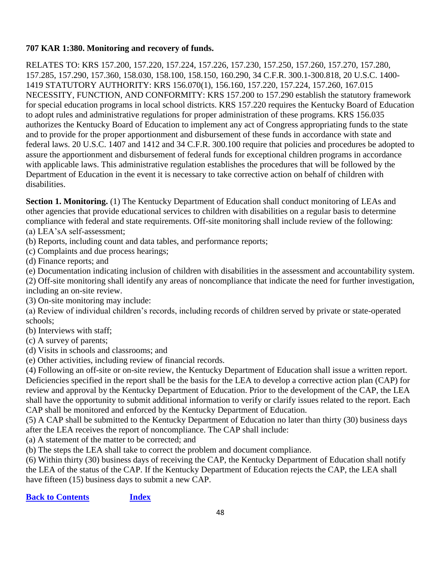# <span id="page-48-0"></span>**707 KAR 1:380. Monitoring and recovery of funds.**

RELATES TO: KRS 157.200, 157.220, 157.224, 157.226, 157.230, 157.250, 157.260, 157.270, 157.280, 157.285, 157.290, 157.360, 158.030, 158.100, 158.150, 160.290, 34 C.F.R. 300.1-300.818, 20 U.S.C. 1400- 1419 STATUTORY AUTHORITY: KRS 156.070(1), 156.160, 157.220, 157.224, 157.260, 167.015 NECESSITY, FUNCTION, AND CONFORMITY: KRS 157.200 to 157.290 establish the statutory framework for special education programs in local school districts. KRS 157.220 requires the Kentucky Board of Education to adopt rules and administrative regulations for proper administration of these programs. KRS 156.035 authorizes the Kentucky Board of Education to implement any act of Congress appropriating funds to the state and to provide for the proper apportionment and disbursement of these funds in accordance with state and federal laws. 20 U.S.C. 1407 and 1412 and 34 C.F.R. 300.100 require that policies and procedures be adopted to assure the apportionment and disbursement of federal funds for exceptional children programs in accordance with applicable laws. This administrative regulation establishes the procedures that will be followed by the Department of Education in the event it is necessary to take corrective action on behalf of children with disabilities.

**Section 1. Monitoring.** (1) The Kentucky Department of Education shall conduct monitoring of LEAs and other agencies that provide educational services to children with disabilities on a regular basis to determine compliance with federal and state requirements. Off-site monitoring shall include review of the following: (a) LEA'sA self-assessment;

(b) Reports, including count and data tables, and performance reports;

(c) Complaints and due process hearings;

(d) Finance reports; and

(e) Documentation indicating inclusion of children with disabilities in the assessment and accountability system.

(2) Off-site monitoring shall identify any areas of noncompliance that indicate the need for further investigation, including an on-site review.

(3) On-site monitoring may include:

(a) Review of individual children's records, including records of children served by private or state-operated schools;

(b) Interviews with staff;

(c) A survey of parents;

(d) Visits in schools and classrooms; and

(e) Other activities, including review of financial records.

(4) Following an off-site or on-site review, the Kentucky Department of Education shall issue a written report. Deficiencies specified in the report shall be the basis for the LEA to develop a corrective action plan (CAP) for review and approval by the Kentucky Department of Education. Prior to the development of the CAP, the LEA shall have the opportunity to submit additional information to verify or clarify issues related to the report. Each CAP shall be monitored and enforced by the Kentucky Department of Education.

(5) A CAP shall be submitted to the Kentucky Department of Education no later than thirty (30) business days after the LEA receives the report of noncompliance. The CAP shall include:

(a) A statement of the matter to be corrected; and

(b) The steps the LEA shall take to correct the problem and document compliance.

(6) Within thirty (30) business days of receiving the CAP, the Kentucky Department of Education shall notify the LEA of the status of the CAP. If the Kentucky Department of Education rejects the CAP, the LEA shall have fifteen (15) business days to submit a new CAP.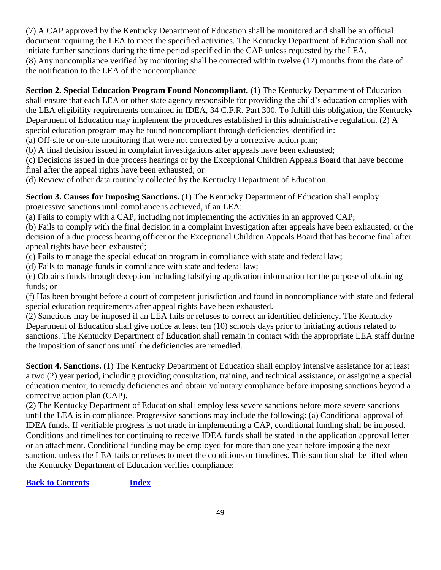(7) A CAP approved by the Kentucky Department of Education shall be monitored and shall be an official document requiring the LEA to meet the specified activities. The Kentucky Department of Education shall not initiate further sanctions during the time period specified in the CAP unless requested by the LEA. (8) Any noncompliance verified by monitoring shall be corrected within twelve (12) months from the date of the notification to the LEA of the noncompliance.

**Section 2. Special Education Program Found Noncompliant.** (1) The Kentucky Department of Education shall ensure that each LEA or other state agency responsible for providing the child's education complies with the LEA eligibility requirements contained in IDEA, 34 C.F.R. Part 300. To fulfill this obligation, the Kentucky Department of Education may implement the procedures established in this administrative regulation. (2) A special education program may be found noncompliant through deficiencies identified in:

(a) Off-site or on-site monitoring that were not corrected by a corrective action plan;

(b) A final decision issued in complaint investigations after appeals have been exhausted;

(c) Decisions issued in due process hearings or by the Exceptional Children Appeals Board that have become final after the appeal rights have been exhausted; or

(d) Review of other data routinely collected by the Kentucky Department of Education.

**Section 3. Causes for Imposing Sanctions.** (1) The Kentucky Department of Education shall employ progressive sanctions until compliance is achieved, if an LEA:

(a) Fails to comply with a CAP, including not implementing the activities in an approved CAP;

(b) Fails to comply with the final decision in a complaint investigation after appeals have been exhausted, or the decision of a due process hearing officer or the Exceptional Children Appeals Board that has become final after appeal rights have been exhausted;

- (c) Fails to manage the special education program in compliance with state and federal law;
- (d) Fails to manage funds in compliance with state and federal law;

(e) Obtains funds through deception including falsifying application information for the purpose of obtaining funds; or

(f) Has been brought before a court of competent jurisdiction and found in noncompliance with state and federal special education requirements after appeal rights have been exhausted.

(2) Sanctions may be imposed if an LEA fails or refuses to correct an identified deficiency. The Kentucky Department of Education shall give notice at least ten (10) schools days prior to initiating actions related to sanctions. The Kentucky Department of Education shall remain in contact with the appropriate LEA staff during the imposition of sanctions until the deficiencies are remedied.

**Section 4. Sanctions.** (1) The Kentucky Department of Education shall employ intensive assistance for at least a two (2) year period, including providing consultation, training, and technical assistance, or assigning a special education mentor, to remedy deficiencies and obtain voluntary compliance before imposing sanctions beyond a corrective action plan (CAP).

(2) The Kentucky Department of Education shall employ less severe sanctions before more severe sanctions until the LEA is in compliance. Progressive sanctions may include the following: (a) Conditional approval of IDEA funds. If verifiable progress is not made in implementing a CAP, conditional funding shall be imposed. Conditions and timelines for continuing to receive IDEA funds shall be stated in the application approval letter or an attachment. Conditional funding may be employed for more than one year before imposing the next sanction, unless the LEA fails or refuses to meet the conditions or timelines. This sanction shall be lifted when the Kentucky Department of Education verifies compliance;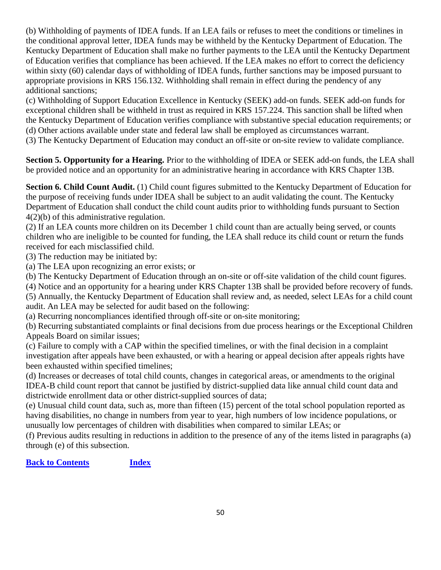(b) Withholding of payments of IDEA funds. If an LEA fails or refuses to meet the conditions or timelines in the conditional approval letter, IDEA funds may be withheld by the Kentucky Department of Education. The Kentucky Department of Education shall make no further payments to the LEA until the Kentucky Department of Education verifies that compliance has been achieved. If the LEA makes no effort to correct the deficiency within sixty (60) calendar days of withholding of IDEA funds, further sanctions may be imposed pursuant to appropriate provisions in KRS 156.132. Withholding shall remain in effect during the pendency of any additional sanctions;

(c) Withholding of Support Education Excellence in Kentucky (SEEK) add-on funds. SEEK add-on funds for exceptional children shall be withheld in trust as required in KRS 157.224. This sanction shall be lifted when the Kentucky Department of Education verifies compliance with substantive special education requirements; or (d) Other actions available under state and federal law shall be employed as circumstances warrant.

(3) The Kentucky Department of Education may conduct an off-site or on-site review to validate compliance.

**Section 5. Opportunity for a Hearing.** Prior to the withholding of IDEA or SEEK add-on funds, the LEA shall be provided notice and an opportunity for an administrative hearing in accordance with KRS Chapter 13B.

**Section 6. Child Count Audit.** (1) Child count figures submitted to the Kentucky Department of Education for the purpose of receiving funds under IDEA shall be subject to an audit validating the count. The Kentucky Department of Education shall conduct the child count audits prior to withholding funds pursuant to Section 4(2)(b) of this administrative regulation.

(2) If an LEA counts more children on its December 1 child count than are actually being served, or counts children who are ineligible to be counted for funding, the LEA shall reduce its child count or return the funds received for each misclassified child.

(3) The reduction may be initiated by:

(a) The LEA upon recognizing an error exists; or

(b) The Kentucky Department of Education through an on-site or off-site validation of the child count figures.

(4) Notice and an opportunity for a hearing under KRS Chapter 13B shall be provided before recovery of funds.

(5) Annually, the Kentucky Department of Education shall review and, as needed, select LEAs for a child count audit. An LEA may be selected for audit based on the following:

(a) Recurring noncompliances identified through off-site or on-site monitoring;

(b) Recurring substantiated complaints or final decisions from due process hearings or the Exceptional Children Appeals Board on similar issues;

(c) Failure to comply with a CAP within the specified timelines, or with the final decision in a complaint investigation after appeals have been exhausted, or with a hearing or appeal decision after appeals rights have been exhausted within specified timelines;

(d) Increases or decreases of total child counts, changes in categorical areas, or amendments to the original IDEA-B child count report that cannot be justified by district-supplied data like annual child count data and districtwide enrollment data or other district-supplied sources of data;

(e) Unusual child count data, such as, more than fifteen (15) percent of the total school population reported as having disabilities, no change in numbers from year to year, high numbers of low incidence populations, or unusually low percentages of children with disabilities when compared to similar LEAs; or

(f) Previous audits resulting in reductions in addition to the presence of any of the items listed in paragraphs (a) through (e) of this subsection.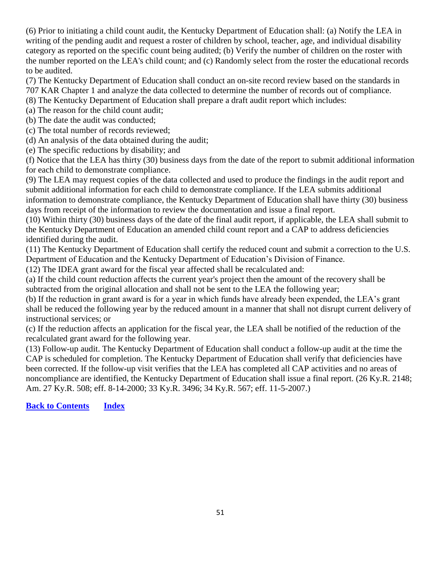(6) Prior to initiating a child count audit, the Kentucky Department of Education shall: (a) Notify the LEA in writing of the pending audit and request a roster of children by school, teacher, age, and individual disability category as reported on the specific count being audited; (b) Verify the number of children on the roster with the number reported on the LEA's child count; and (c) Randomly select from the roster the educational records to be audited.

(7) The Kentucky Department of Education shall conduct an on-site record review based on the standards in

707 KAR Chapter 1 and analyze the data collected to determine the number of records out of compliance.

(8) The Kentucky Department of Education shall prepare a draft audit report which includes:

(a) The reason for the child count audit;

(b) The date the audit was conducted;

(c) The total number of records reviewed;

(d) An analysis of the data obtained during the audit;

(e) The specific reductions by disability; and

(f) Notice that the LEA has thirty (30) business days from the date of the report to submit additional information for each child to demonstrate compliance.

(9) The LEA may request copies of the data collected and used to produce the findings in the audit report and submit additional information for each child to demonstrate compliance. If the LEA submits additional information to demonstrate compliance, the Kentucky Department of Education shall have thirty (30) business days from receipt of the information to review the documentation and issue a final report.

(10) Within thirty (30) business days of the date of the final audit report, if applicable, the LEA shall submit to the Kentucky Department of Education an amended child count report and a CAP to address deficiencies identified during the audit.

(11) The Kentucky Department of Education shall certify the reduced count and submit a correction to the U.S. Department of Education and the Kentucky Department of Education's Division of Finance.

(12) The IDEA grant award for the fiscal year affected shall be recalculated and:

(a) If the child count reduction affects the current year's project then the amount of the recovery shall be subtracted from the original allocation and shall not be sent to the LEA the following year;

(b) If the reduction in grant award is for a year in which funds have already been expended, the LEA's grant shall be reduced the following year by the reduced amount in a manner that shall not disrupt current delivery of instructional services; or

(c) If the reduction affects an application for the fiscal year, the LEA shall be notified of the reduction of the recalculated grant award for the following year.

(13) Follow-up audit. The Kentucky Department of Education shall conduct a follow-up audit at the time the CAP is scheduled for completion. The Kentucky Department of Education shall verify that deficiencies have been corrected. If the follow-up visit verifies that the LEA has completed all CAP activities and no areas of noncompliance are identified, the Kentucky Department of Education shall issue a final report. (26 Ky.R. 2148; Am. 27 Ky.R. 508; eff. 8-14-2000; 33 Ky.R. 3496; 34 Ky.R. 567; eff. 11-5-2007.)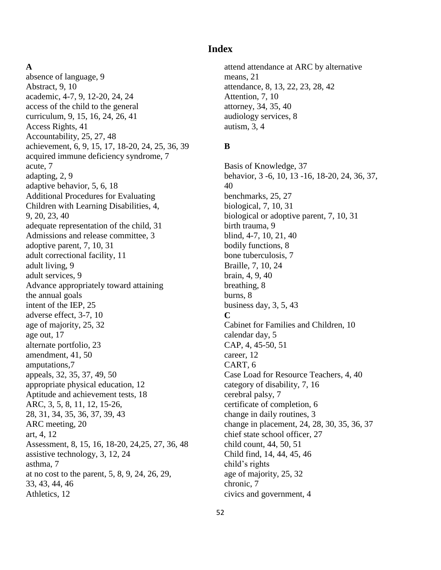#### <span id="page-52-0"></span>**A**

absence of language, 9 Abstract, 9, 10 academic, 4-7, 9, 12-20, 24, 24 access of the child to the general curriculum, 9, 15, 16, 24, 26, 41 Access Rights, 41 Accountability, 25, 27, 48 achievement, 6, 9, 15, 17, 18-20, 24, 25, 36, 39 acquired immune deficiency syndrome, 7 acute, 7 adapting, 2, 9 adaptive behavior, 5, 6, 18 Additional Procedures for Evaluating Children with Learning Disabilities, 4, 9, 20, 23, 40 adequate representation of the child, 31 Admissions and release committee, 3 adoptive parent, 7, 10, 31 adult correctional facility, 11 adult living, 9 adult services, 9 Advance appropriately toward attaining the annual goals intent of the IEP, 25 adverse effect, 3-7, 10 age of majority, 25, 32 age out, 17 alternate portfolio, 23 amendment, 41, 50 amputations,7 appeals, 32, 35, 37, 49, 50 appropriate physical education, 12 Aptitude and achievement tests, 18 ARC, 3, 5, 8, 11, 12, 15-26, 28, 31, 34, 35, 36, 37, 39, 43 ARC meeting, 20 art, 4, 12 Assessment, 8, 15, 16, 18-20, 24,25, 27, 36, 48 assistive technology, 3, 12, 24 asthma, 7 at no cost to the parent, 5, 8, 9, 24, 26, 29, 33, 43, 44, 46 Athletics, 12

# **Index**

attend attendance at ARC by alternative means, 21 attendance, 8, 13, 22, 23, 28, 42 Attention, 7, 10 attorney, 34, 35, 40 audiology services, 8 autism, 3, 4

#### **B**

Basis of Knowledge, 37 behavior, 3 -6, 10, 13 -16, 18-20, 24, 36, 37, 40 benchmarks, 25, 27 biological, 7, 10, 31 biological or adoptive parent, 7, 10, 31 birth trauma, 9 blind, 4-7, 10, 21, 40 bodily functions, 8 bone tuberculosis, 7 Braille, 7, 10, 24 brain, 4, 9, 40 breathing, 8 burns, 8 business day, 3, 5, 43 **C** Cabinet for Families and Children, 10 calendar day, 5 CAP, 4, 45-50, 51 career, 12 CART, 6 Case Load for Resource Teachers, 4, 40 category of disability, 7, 16 cerebral palsy, 7 certificate of completion, 6 change in daily routines, 3 change in placement, 24, 28, 30, 35, 36, 37 chief state school officer, 27 child count, 44, 50, 51 Child find, 14, 44, 45, 46 child's rights age of majority, 25, 32 chronic, 7 civics and government, 4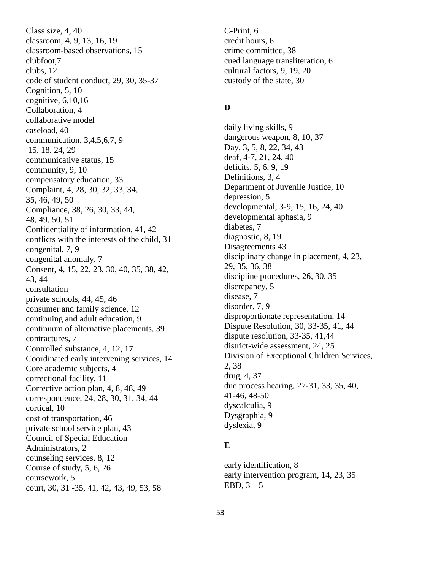Class size, 4, 40 classroom, 4, 9, 13, 16, 19 classroom-based observations, 15 clubfoot,7 clubs, 12 code of student conduct, 29, 30, 35-37 Cognition, 5, 10 cognitive, 6,10,16 Collaboration, 4 collaborative model caseload, 40 communication, 3,4,5,6,7, 9 15, 18, 24, 29 communicative status, 15 community, 9, 10 compensatory education, 33 Complaint, 4, 28, 30, 32, 33, 34, 35, 46, 49, 50 Compliance, 38, 26, 30, 33, 44, 48, 49, 50, 51 Confidentiality of information, 41, 42 conflicts with the interests of the child, 31 congenital, 7, 9 congenital anomaly, 7 Consent, 4, 15, 22, 23, 30, 40, 35, 38, 42, 43, 44 consultation private schools, 44, 45, 46 consumer and family science, 12 continuing and adult education, 9 continuum of alternative placements, 39 contractures, 7 Controlled substance, 4, 12, 17 Coordinated early intervening services, 14 Core academic subjects, 4 correctional facility, 11 Corrective action plan, 4, 8, 48, 49 correspondence, 24, 28, 30, 31, 34, 44 cortical, 10 cost of transportation, 46 private school service plan, 43 Council of Special Education Administrators, 2 counseling services, 8, 12 Course of study, 5, 6, 26 coursework, 5 court, 30, 31 -35, 41, 42, 43, 49, 53, 58

C-Print, 6 credit hours, 6 crime committed, 38 cued language transliteration, 6 cultural factors, 9, 19, 20 custody of the state, 30

### **D**

daily living skills, 9 dangerous weapon, 8, 10, 37 Day, 3, 5, 8, 22, 34, 43 deaf, 4-7, 21, 24, 40 deficits, 5, 6, 9, 19 Definitions, 3, 4 Department of Juvenile Justice, 10 depression, 5 developmental, 3-9, 15, 16, 24, 40 developmental aphasia, 9 diabetes, 7 diagnostic, 8, 19 Disagreements 43 disciplinary change in placement, 4, 23, 29, 35, 36, 38 discipline procedures, 26, 30, 35 discrepancy, 5 disease, 7 disorder, 7, 9 disproportionate representation, 14 Dispute Resolution, 30, 33-35, 41, 44 dispute resolution, 33-35, 41,44 district-wide assessment, 24, 25 Division of Exceptional Children Services, 2, 38 drug, 4, 37 due process hearing, 27-31, 33, 35, 40, 41-46, 48-50 dyscalculia, 9 Dysgraphia, 9 dyslexia, 9

### **E**

early identification, 8 early intervention program, 14, 23, 35 EBD,  $3-5$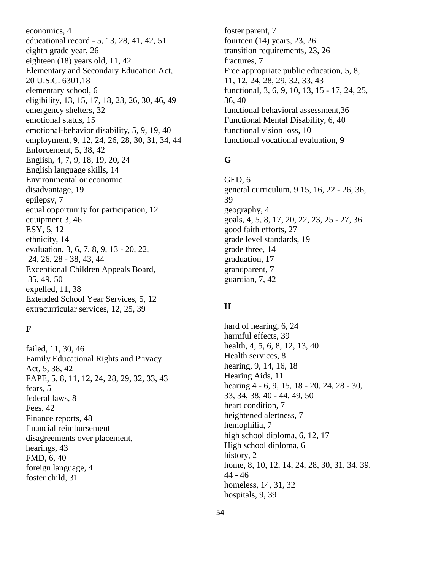economics, 4 educational record - 5, 13, 28, 41, 42, 51 eighth grade year, 26 eighteen (18) years old, 11, 42 Elementary and Secondary Education Act, 20 U.S.C. 6301,18 elementary school, 6 eligibility, 13, 15, 17, 18, 23, 26, 30, 46, 49 emergency shelters, 32 emotional status, 15 emotional-behavior disability, 5, 9, 19, 40 employment, 9, 12, 24, 26, 28, 30, 31, 34, 44 Enforcement, 5, 38, 42 English, 4, 7, 9, 18, 19, 20, 24 English language skills, 14 Environmental or economic disadvantage, 19 epilepsy, 7 equal opportunity for participation, 12 equipment 3, 46 ESY, 5, 12 ethnicity, 14 evaluation, 3, 6, 7, 8, 9, 13 - 20, 22, 24, 26, 28 - 38, 43, 44 Exceptional Children Appeals Board, 35, 49, 50 expelled, 11, 38 Extended School Year Services, 5, 12 extracurricular services, 12, 25, 39

# **F**

failed, 11, 30, 46 Family Educational Rights and Privacy Act, 5, 38, 42 FAPE, 5, 8, 11, 12, 24, 28, 29, 32, 33, 43 fears, 5 federal laws, 8 Fees, 42 Finance reports, 48 financial reimbursement disagreements over placement, hearings, 43 FMD, 6, 40 foreign language, 4 foster child, 31

foster parent, 7 fourteen (14) years, 23, 26 transition requirements, 23, 26 fractures, 7 Free appropriate public education, 5, 8, 11, 12, 24, 28, 29, 32, 33, 43 functional, 3, 6, 9, 10, 13, 15 - 17, 24, 25, 36, 40 functional behavioral assessment,36 Functional Mental Disability, 6, 40 functional vision loss, 10 functional vocational evaluation, 9

#### **G**

GED, 6 general curriculum, 9 15, 16, 22 - 26, 36, 39 geography, 4 goals, 4, 5, 8, 17, 20, 22, 23, 25 - 27, 36 good faith efforts, 27 grade level standards, 19 grade three, 14 graduation, 17 grandparent, 7 guardian, 7, 42

#### **H**

hard of hearing, 6, 24 harmful effects, 39 health, 4, 5, 6, 8, 12, 13, 40 Health services, 8 hearing, 9, 14, 16, 18 Hearing Aids, 11 hearing 4 - 6, 9, 15, 18 - 20, 24, 28 - 30, 33, 34, 38, 40 - 44, 49, 50 heart condition, 7 heightened alertness, 7 hemophilia, 7 high school diploma, 6, 12, 17 High school diploma, 6 history, 2 home, 8, 10, 12, 14, 24, 28, 30, 31, 34, 39, 44 - 46 homeless, 14, 31, 32 hospitals, 9, 39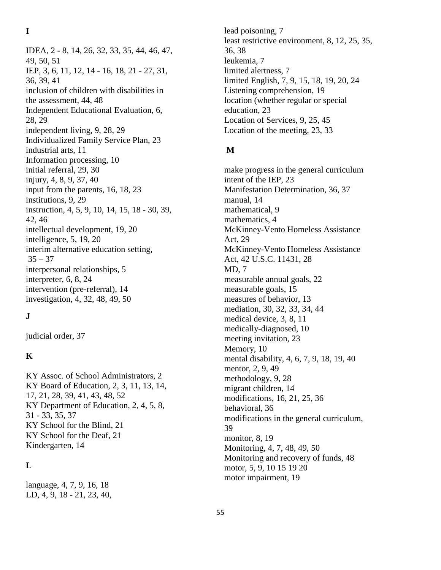**I** 

IDEA, 2 - 8, 14, 26, 32, 33, 35, 44, 46, 47, 49, 50, 51 IEP, 3, 6, 11, 12, 14 - 16, 18, 21 - 27, 31, 36, 39, 41 inclusion of children with disabilities in the assessment, 44, 48 Independent Educational Evaluation, 6, 28, 29 independent living, 9, 28, 29 Individualized Family Service Plan, 23 industrial arts, 11 Information processing, 10 initial referral, 29, 30 injury, 4, 8, 9, 37, 40 input from the parents, 16, 18, 23 institutions, 9, 29 instruction, 4, 5, 9, 10, 14, 15, 18 - 30, 39, 42, 46 intellectual development, 19, 20 intelligence, 5, 19, 20 interim alternative education setting,  $35 - 37$ interpersonal relationships, 5 interpreter, 6, 8, 24 intervention (pre-referral), 14 investigation, 4, 32, 48, 49, 50

# **J**

judicial order, 37

# **K**

KY Assoc. of School Administrators, 2 KY Board of Education, 2, 3, 11, 13, 14, 17, 21, 28, 39, 41, 43, 48, 52 KY Department of Education, 2, 4, 5, 8, 31 - 33, 35, 37 KY School for the Blind, 21 KY School for the Deaf, 21 Kindergarten, 14

# **L**

language, 4, 7, 9, 16, 18 LD, 4, 9, 18 - 21, 23, 40, lead poisoning, 7 least restrictive environment, 8, 12, 25, 35, 36, 38 leukemia, 7 limited alertness, 7 limited English, 7, 9, 15, 18, 19, 20, 24 Listening comprehension, 19 location (whether regular or special education, 23 Location of Services, 9, 25, 45 Location of the meeting, 23, 33

### **M**

make progress in the general curriculum intent of the IEP, 23 Manifestation Determination, 36, 37 manual, 14 mathematical, 9 mathematics, 4 McKinney-Vento Homeless Assistance Act, 29 McKinney-Vento Homeless Assistance Act, 42 U.S.C. 11431, 28 MD, 7 measurable annual goals, 22 measurable goals, 15 measures of behavior, 13 mediation, 30, 32, 33, 34, 44 medical device, 3, 8, 11 medically-diagnosed, 10 meeting invitation, 23 Memory, 10 mental disability, 4, 6, 7, 9, 18, 19, 40 mentor, 2, 9, 49 methodology, 9, 28 migrant children, 14 modifications, 16, 21, 25, 36 behavioral, 36 modifications in the general curriculum, 39 monitor, 8, 19 Monitoring, 4, 7, 48, 49, 50 Monitoring and recovery of funds, 48 motor, 5, 9, 10 15 19 20 motor impairment, 19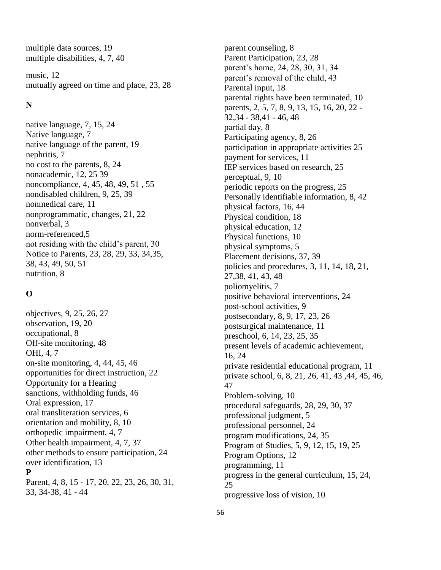multiple data sources, 19 multiple disabilities, 4, 7, 40

music, 12 mutually agreed on time and place, 23, 28

# **N**

native language, 7, 15, 24 Native language, 7 native language of the parent, 19 nephritis, 7 no cost to the parents, 8, 24 nonacademic, 12, 25 39 noncompliance, 4, 45, 48, 49, 51 , 55 nondisabled children, 9, 25, 39 nonmedical care, 11 nonprogrammatic, changes, 21, 22 nonverbal, 3 norm-referenced,5 not residing with the child's parent, 30 Notice to Parents, 23, 28, 29, 33, 34,35, 38, 43, 49, 50, 51 nutrition, 8

# **O**

objectives, 9, 25, 26, 27 observation, 19, 20 occupational, 8 Off-site monitoring, 48 OHI, 4, 7 on-site monitoring, 4, 44, 45, 46 opportunities for direct instruction, 22 Opportunity for a Hearing sanctions, withholding funds, 46 Oral expression, 17 oral transliteration services, 6 orientation and mobility, 8, 10 orthopedic impairment, 4, 7 Other health impairment, 4, 7, 37 other methods to ensure participation, 24 over identification, 13 **P**  Parent, 4, 8, 15 - 17, 20, 22, 23, 26, 30, 31, 33, 34-38, 41 - 44

parent counseling, 8 Parent Participation, 23, 28 parent's home, 24, 28, 30, 31, 34 parent's removal of the child, 43 Parental input, 18 parental rights have been terminated, 10 parents, 2, 5, 7, 8, 9, 13, 15, 16, 20, 22 - 32,34 - 38,41 - 46, 48 partial day, 8 Participating agency, 8, 26 participation in appropriate activities 25 payment for services, 11 IEP services based on research, 25 perceptual, 9, 10 periodic reports on the progress, 25 Personally identifiable information, 8, 42 physical factors, 16, 44 Physical condition, 18 physical education, 12 Physical functions, 10 physical symptoms, 5 Placement decisions, 37, 39 policies and procedures, 3, 11, 14, 18, 21, 27,38, 41, 43, 48 poliomyelitis, 7 positive behavioral interventions, 24 post-school activities, 9 postsecondary, 8, 9, 17, 23, 26 postsurgical maintenance, 11 preschool, 6, 14, 23, 25, 35 present levels of academic achievement, 16, 24 private residential educational program, 11 private school, 6, 8, 21, 26, 41, 43 ,44, 45, 46, 47 Problem-solving, 10 procedural safeguards, 28, 29, 30, 37 professional judgment, 5 professional personnel, 24 program modifications, 24, 35 Program of Studies, 5, 9, 12, 15, 19, 25 Program Options, 12 programming, 11 progress in the general curriculum, 15, 24, 25 progressive loss of vision, 10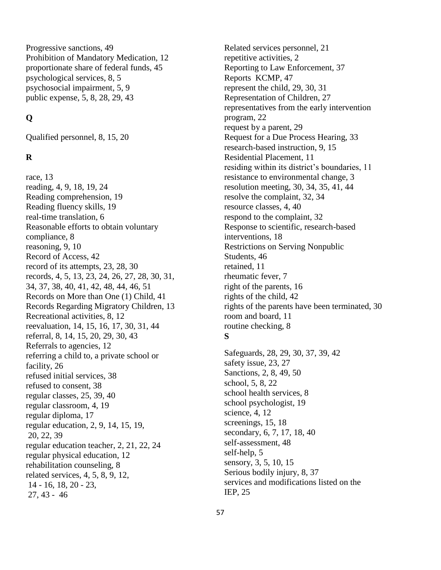Progressive sanctions, 49 Prohibition of Mandatory Medication, 12 proportionate share of federal funds, 45 psychological services, 8, 5 psychosocial impairment, 5, 9 public expense, 5, 8, 28, 29, 43

# **Q**

Qualified personnel, 8, 15, 20

#### **R**

race, 13 reading, 4, 9, 18, 19, 24 Reading comprehension, 19 Reading fluency skills, 19 real-time translation, 6 Reasonable efforts to obtain voluntary compliance, 8 reasoning, 9, 10 Record of Access, 42 record of its attempts, 23, 28, 30 records, 4, 5, 13, 23, 24, 26, 27, 28, 30, 31, 34, 37, 38, 40, 41, 42, 48, 44, 46, 51 Records on More than One (1) Child, 41 Records Regarding Migratory Children, 13 Recreational activities, 8, 12 reevaluation, 14, 15, 16, 17, 30, 31, 44 referral, 8, 14, 15, 20, 29, 30, 43 Referrals to agencies, 12 referring a child to, a private school or facility, 26 refused initial services, 38 refused to consent, 38 regular classes, 25, 39, 40 regular classroom, 4, 19 regular diploma, 17 regular education, 2, 9, 14, 15, 19, 20, 22, 39 regular education teacher, 2, 21, 22, 24 regular physical education, 12 rehabilitation counseling, 8 related services, 4, 5, 8, 9, 12, 14 - 16, 18, 20 - 23, 27, 43 - 46

Related services personnel, 21 repetitive activities, 2 Reporting to Law Enforcement, 37 Reports KCMP, 47 represent the child, 29, 30, 31 Representation of Children, 27 representatives from the early intervention program, 22 request by a parent, 29 Request for a Due Process Hearing, 33 research-based instruction, 9, 15 Residential Placement, 11 residing within its district's boundaries, 11 resistance to environmental change, 3 resolution meeting, 30, 34, 35, 41, 44 resolve the complaint, 32, 34 resource classes, 4, 40 respond to the complaint, 32 Response to scientific, research-based interventions, 18 Restrictions on Serving Nonpublic Students, 46 retained, 11 rheumatic fever, 7 right of the parents, 16 rights of the child, 42 rights of the parents have been terminated, 30 room and board, 11 routine checking, 8 **S** 

Safeguards, 28, 29, 30, 37, 39, 42 safety issue, 23, 27 Sanctions, 2, 8, 49, 50 school, 5, 8, 22 school health services, 8 school psychologist, 19 science, 4, 12 screenings, 15, 18 secondary, 6, 7, 17, 18, 40 self-assessment, 48 self-help, 5 sensory, 3, 5, 10, 15 Serious bodily injury, 8, 37 services and modifications listed on the IEP, 25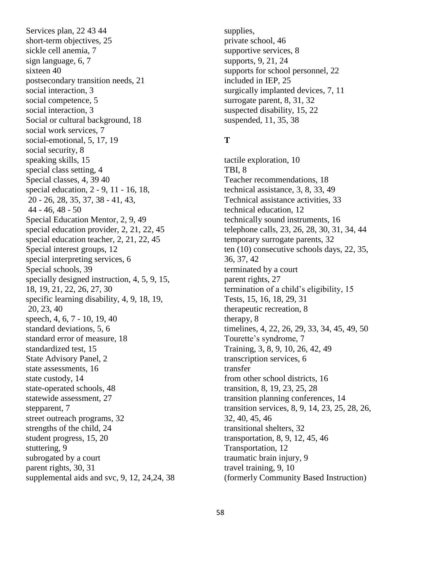Services plan, 22 43 44 short-term objectives, 25 sickle cell anemia, 7 sign language, 6, 7 sixteen 40 postsecondary transition needs, 21 social interaction, 3 social competence, 5 social interaction, 3 Social or cultural background, 18 social work services, 7 social-emotional, 5, 17, 19 social security, 8 speaking skills, 15 special class setting, 4 Special classes, 4, 39 40 special education, 2 - 9, 11 - 16, 18, 20 - 26, 28, 35, 37, 38 - 41, 43, 44 - 46, 48 - 50 Special Education Mentor, 2, 9, 49 special education provider, 2, 21, 22, 45 special education teacher, 2, 21, 22, 45 Special interest groups, 12 special interpreting services, 6 Special schools, 39 specially designed instruction, 4, 5, 9, 15, 18, 19, 21, 22, 26, 27, 30 specific learning disability, 4, 9, 18, 19, 20, 23, 40 speech, 4, 6, 7 - 10, 19, 40 standard deviations, 5, 6 standard error of measure, 18 standardized test, 15 State Advisory Panel, 2 state assessments, 16 state custody, 14 state-operated schools, 48 statewide assessment, 27 stepparent, 7 street outreach programs, 32 strengths of the child, 24 student progress, 15, 20 stuttering, 9 subrogated by a court parent rights, 30, 31 supplemental aids and svc, 9, 12, 24,24, 38 supplies, private school, 46 supportive services, 8 supports, 9, 21, 24 supports for school personnel, 22 included in IEP, 25 surgically implanted devices, 7, 11 surrogate parent, 8, 31, 32 suspected disability, 15, 22 suspended, 11, 35, 38

### **T**

tactile exploration, 10 TBI, 8 Teacher recommendations, 18 technical assistance, 3, 8, 33, 49 Technical assistance activities, 33 technical education, 12 technically sound instruments, 16 telephone calls, 23, 26, 28, 30, 31, 34, 44 temporary surrogate parents, 32 ten (10) consecutive schools days, 22, 35, 36, 37, 42 terminated by a court parent rights, 27 termination of a child's eligibility, 15 Tests, 15, 16, 18, 29, 31 therapeutic recreation, 8 therapy, 8 timelines, 4, 22, 26, 29, 33, 34, 45, 49, 50 Tourette's syndrome, 7 Training, 3, 8, 9, 10, 26, 42, 49 transcription services, 6 transfer from other school districts, 16 transition, 8, 19, 23, 25, 28 transition planning conferences, 14 transition services, 8, 9, 14, 23, 25, 28, 26, 32, 40, 45, 46 transitional shelters, 32 transportation, 8, 9, 12, 45, 46 Transportation, 12 traumatic brain injury, 9 travel training, 9, 10 (formerly Community Based Instruction)